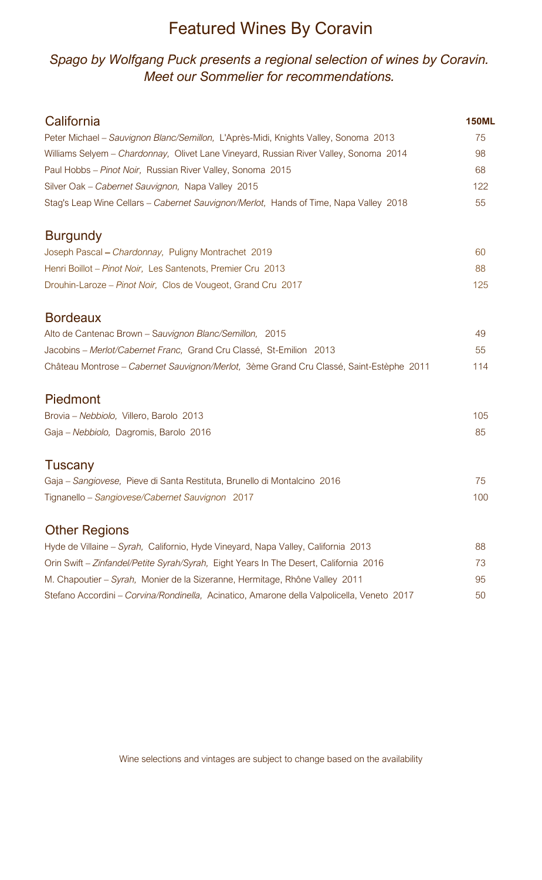# Featured Wines By Coravin

#### *Spago by Wolfgang Puck presents a regional selection of wines by Coravin. Meet our Sommelier for recommendations.*

| California                                                                                 | <b>150ML</b> |
|--------------------------------------------------------------------------------------------|--------------|
| Peter Michael - Sauvignon Blanc/Semillon, L'Après-Midi, Knights Valley, Sonoma 2013        | 75           |
| Williams Selyem - Chardonnay, Olivet Lane Vineyard, Russian River Valley, Sonoma 2014      | 98           |
| Paul Hobbs - Pinot Noir, Russian River Valley, Sonoma 2015                                 | 68           |
| Silver Oak - Cabernet Sauvignon, Napa Valley 2015                                          | 122          |
| Stag's Leap Wine Cellars – Cabernet Sauvignon/Merlot, Hands of Time, Napa Valley 2018      | 55           |
| <b>Burgundy</b>                                                                            |              |
| Joseph Pascal - Chardonnay, Puligny Montrachet 2019                                        | 60           |
| Henri Boillot - Pinot Noir, Les Santenots, Premier Cru 2013                                | 88           |
| Drouhin-Laroze - Pinot Noir, Clos de Vougeot, Grand Cru 2017                               | 125          |
| <b>Bordeaux</b>                                                                            |              |
| Alto de Cantenac Brown - Sauvignon Blanc/Semillon, 2015                                    | 49           |
| Jacobins - Merlot/Cabernet Franc, Grand Cru Classé, St-Emilion 2013                        | 55           |
| Château Montrose - Cabernet Sauvignon/Merlot, 3ème Grand Cru Classé, Saint-Estèphe 2011    | 114          |
| Piedmont                                                                                   |              |
| Brovia - Nebbiolo, Villero, Barolo 2013                                                    | 105          |
| Gaja - Nebbiolo, Dagromis, Barolo 2016                                                     | 85           |
| Tuscany                                                                                    |              |
| Gaja – Sangiovese, Pieve di Santa Restituta, Brunello di Montalcino 2016                   | 75           |
| Tignanello - Sangiovese/Cabernet Sauvignon 2017                                            | 100          |
| <b>Other Regions</b>                                                                       |              |
| Hyde de Villaine – Syrah, Californio, Hyde Vineyard, Napa Valley, California 2013          | 88           |
| Orin Swift - Zinfandel/Petite Syrah/Syrah, Eight Years In The Desert, California 2016      | 73           |
| M. Chapoutier – Syrah, Monier de la Sizeranne, Hermitage, Rhône Valley 2011                | 95           |
| Stefano Accordini - Corvina/Rondinella, Acinatico, Amarone della Valpolicella, Veneto 2017 | 50           |

Wine selections and vintages are subject to change based on the availability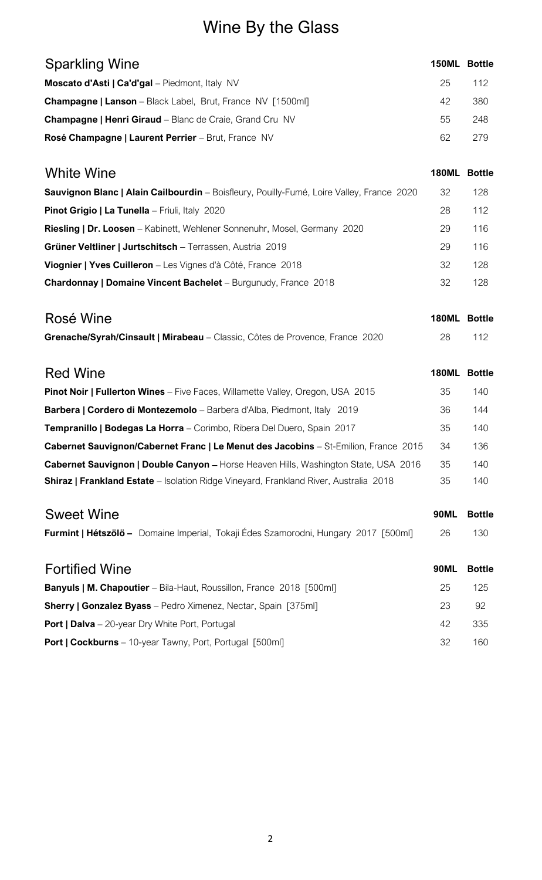# Wine By the Glass

| <b>Sparkling Wine</b>                                                                        | 150ML Bottle |               |
|----------------------------------------------------------------------------------------------|--------------|---------------|
| Moscato d'Asti   Ca'd'gal - Piedmont, Italy NV                                               | 25           | 112           |
| <b>Champagne   Lanson</b> - Black Label, Brut, France NV [1500ml]                            | 42           | 380           |
| <b>Champagne   Henri Giraud</b> - Blanc de Craie, Grand Cru NV                               | 55           | 248           |
| Rosé Champagne   Laurent Perrier - Brut, France NV                                           | 62           | 279           |
| <b>White Wine</b>                                                                            | <b>180ML</b> | <b>Bottle</b> |
| Sauvignon Blanc   Alain Cailbourdin - Boisfleury, Pouilly-Fumé, Loire Valley, France 2020    | 32           | 128           |
| Pinot Grigio   La Tunella - Friuli, Italy 2020                                               | 28           | 112           |
| <b>Riesling   Dr. Loosen</b> - Kabinett, Wehlener Sonnenuhr, Mosel, Germany 2020             | 29           | 116           |
| Grüner Veltliner   Jurtschitsch - Terrassen, Austria 2019                                    | 29           | 116           |
| Viognier   Yves Cuilleron - Les Vignes d'à Côté, France 2018                                 | 32           | 128           |
| Chardonnay   Domaine Vincent Bachelet - Burgunudy, France 2018                               | 32           | 128           |
| Rosé Wine                                                                                    | <b>180ML</b> | <b>Bottle</b> |
| Grenache/Syrah/Cinsault   Mirabeau - Classic, Côtes de Provence, France 2020                 | 28           | 112           |
| <b>Red Wine</b>                                                                              | <b>180ML</b> | <b>Bottle</b> |
| Pinot Noir   Fullerton Wines - Five Faces, Willamette Valley, Oregon, USA 2015               | 35           | 140           |
| Barbera   Cordero di Montezemolo - Barbera d'Alba, Piedmont, Italy 2019                      | 36           | 144           |
| Tempranillo   Bodegas La Horra - Corimbo, Ribera Del Duero, Spain 2017                       | 35           | 140           |
| Cabernet Sauvignon/Cabernet Franc   Le Menut des Jacobins - St-Emilion, France 2015          | 34           | 136           |
| Cabernet Sauvignon   Double Canyon - Horse Heaven Hills, Washington State, USA 2016          | 35           | 140           |
| <b>Shiraz   Frankland Estate</b> - Isolation Ridge Vineyard, Frankland River, Australia 2018 | 35           | 140           |
| <b>Sweet Wine</b>                                                                            | <b>90ML</b>  | <b>Bottle</b> |
| Furmint   Hétszölö - Domaine Imperial, Tokaji Édes Szamorodni, Hungary 2017 [500ml]          | 26           | 130           |
| <b>Fortified Wine</b>                                                                        | <b>90ML</b>  | <b>Bottle</b> |
| <b>Banyuls   M. Chapoutier</b> - Bila-Haut, Roussillon, France 2018 [500ml]                  | 25           | 125           |
| <b>Sherry   Gonzalez Byass</b> - Pedro Ximenez, Nectar, Spain [375ml]                        | 23           | 92            |
| <b>Port   Dalva</b> - 20-year Dry White Port, Portugal                                       | 42           | 335           |
| Port   Cockburns - 10-year Tawny, Port, Portugal [500ml]                                     | 32           | 160           |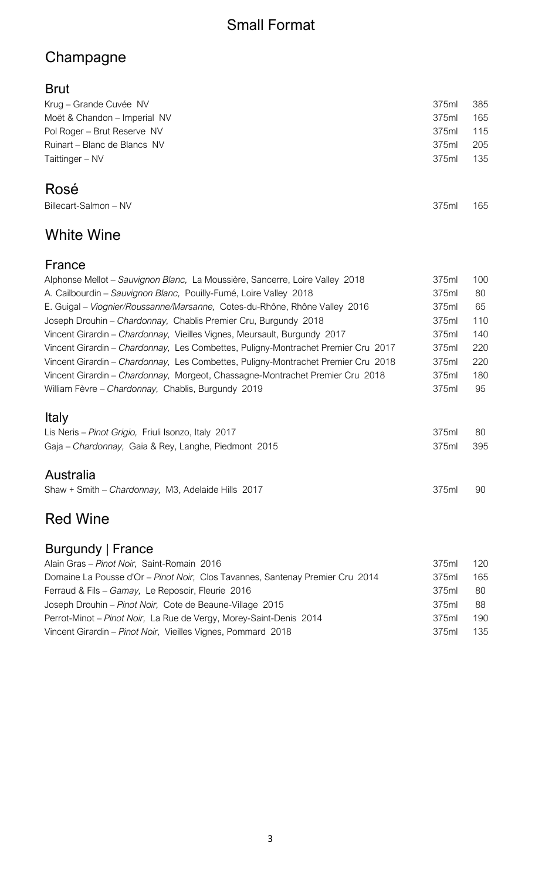# Small Format

# Champagne

#### Brut

| Krug – Grande Cuvée NV       | 375ml | 385 |
|------------------------------|-------|-----|
| Moët & Chandon - Imperial NV | 375ml | 165 |
| Pol Roger – Brut Reserve NV  | 375ml | 115 |
| Ruinart - Blanc de Blancs NV | 375ml | 205 |
| Taittinger – NV              | 375ml | 135 |
|                              |       |     |

375ml 165

# Rosé

| Billecart-Salmon - NV |  |
|-----------------------|--|

# White Wine

#### France

| Alphonse Mellot - Sauvignon Blanc, La Moussière, Sancerre, Loire Valley 2018      | 375ml | 100 |
|-----------------------------------------------------------------------------------|-------|-----|
| A. Cailbourdin - Sauvignon Blanc, Pouilly-Fumé, Loire Valley 2018                 | 375ml | 80  |
| E. Guigal – Viognier/Roussanne/Marsanne, Cotes-du-Rhône, Rhône Valley 2016        | 375ml | 65  |
| Joseph Drouhin - Chardonnay, Chablis Premier Cru, Burgundy 2018                   | 375ml | 110 |
| Vincent Girardin - Chardonnay, Vieilles Vignes, Meursault, Burgundy 2017          | 375ml | 140 |
| Vincent Girardin - Chardonnay, Les Combettes, Puligny-Montrachet Premier Cru 2017 | 375ml | 220 |
| Vincent Girardin - Chardonnay, Les Combettes, Puligny-Montrachet Premier Cru 2018 | 375ml | 220 |
| Vincent Girardin - Chardonnay, Morgeot, Chassagne-Montrachet Premier Cru 2018     | 375ml | 180 |
| William Fèvre - Chardonnay, Chablis, Burgundy 2019                                | 375ml | 95  |
| Italy                                                                             |       |     |

| Lis Neris - Pinot Grigio, Friuli Isonzo, Italy 2017  | 375ml | - 80 |
|------------------------------------------------------|-------|------|
| Gaja – Chardonnay, Gaia & Rey, Langhe, Piedmont 2015 | 375ml | 395  |

#### Australia

Shaw + Smith – *Chardonnay*, M3, Adelaide Hills 2017 375ml 90

# Red Wine

### Burgundy | France

| 375ml | 120 |
|-------|-----|
| 375ml | 165 |
| 375ml | -80 |
| 375ml | -88 |
| 375ml | 190 |
| 375ml | 135 |
|       |     |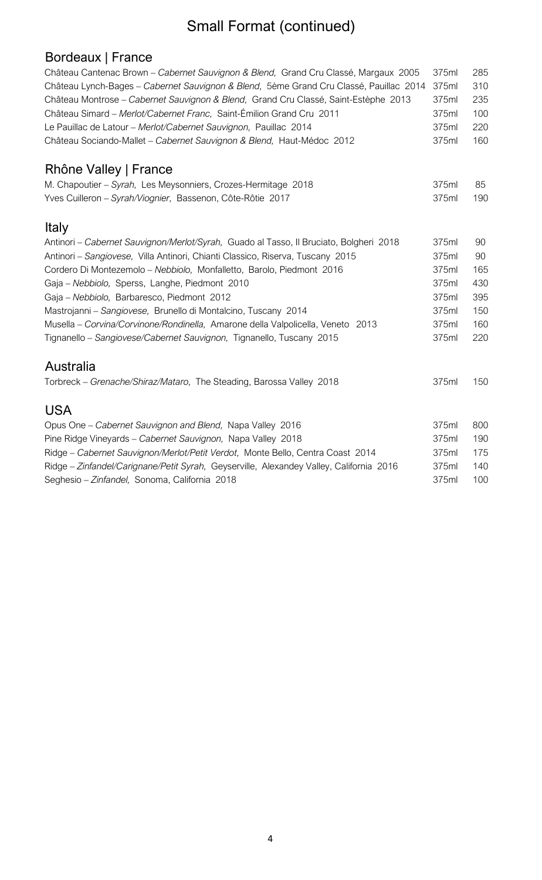# Small Format (continued)

# Bordeaux | France

| Château Cantenac Brown - Cabernet Sauvignon & Blend, Grand Cru Classé, Margaux 2005     | 375ml | 285 |
|-----------------------------------------------------------------------------------------|-------|-----|
| Château Lynch-Bages - Cabernet Sauvignon & Blend, 5ème Grand Cru Classé, Pauillac 2014  | 375ml | 310 |
| Château Montrose - Cabernet Sauvignon & Blend, Grand Cru Classé, Saint-Estèphe 2013     | 375ml | 235 |
| Château Simard - Merlot/Cabernet Franc, Saint-Émilion Grand Cru 2011                    | 375ml | 100 |
| Le Pauillac de Latour - Merlot/Cabernet Sauvignon, Pauillac 2014                        | 375ml | 220 |
| Château Sociando-Mallet - Cabernet Sauvignon & Blend, Haut-Médoc 2012                   | 375ml | 160 |
| Rhône Valley   France                                                                   |       |     |
| M. Chapoutier - Syrah, Les Meysonniers, Crozes-Hermitage 2018                           | 375ml | 85  |
| Yves Cuilleron - Syrah/Viognier, Bassenon, Côte-Rôtie 2017                              | 375ml | 190 |
| Italy                                                                                   |       |     |
| Antinori - Cabernet Sauvignon/Merlot/Syrah, Guado al Tasso, Il Bruciato, Bolgheri 2018  | 375ml | 90  |
| Antinori - Sangiovese, Villa Antinori, Chianti Classico, Riserva, Tuscany 2015          | 375ml | 90  |
| Cordero Di Montezemolo - Nebbiolo, Monfalletto, Barolo, Piedmont 2016                   | 375ml | 165 |
| Gaja - Nebbiolo, Sperss, Langhe, Piedmont 2010                                          | 375ml | 430 |
| Gaja - Nebbiolo, Barbaresco, Piedmont 2012                                              | 375ml | 395 |
| Mastrojanni - Sangiovese, Brunello di Montalcino, Tuscany 2014                          | 375ml | 150 |
| Musella - Corvina/Corvinone/Rondinella, Amarone della Valpolicella, Veneto 2013         | 375ml | 160 |
| Tignanello - Sangiovese/Cabernet Sauvignon, Tignanello, Tuscany 2015                    | 375ml | 220 |
| Australia                                                                               |       |     |
| Torbreck - Grenache/Shiraz/Mataro, The Steading, Barossa Valley 2018                    | 375ml | 150 |
| <b>USA</b>                                                                              |       |     |
| Opus One - Cabernet Sauvignon and Blend, Napa Valley 2016                               | 375ml | 800 |
| Pine Ridge Vineyards - Cabernet Sauvignon, Napa Valley 2018                             | 375ml | 190 |
| Ridge - Cabernet Sauvignon/Merlot/Petit Verdot, Monte Bello, Centra Coast 2014          | 375ml | 175 |
| Ridge - Zinfandel/Carignane/Petit Syrah, Geyserville, Alexandey Valley, California 2016 | 375ml | 140 |
| Seghesio - Zinfandel, Sonoma, California 2018                                           | 375ml | 100 |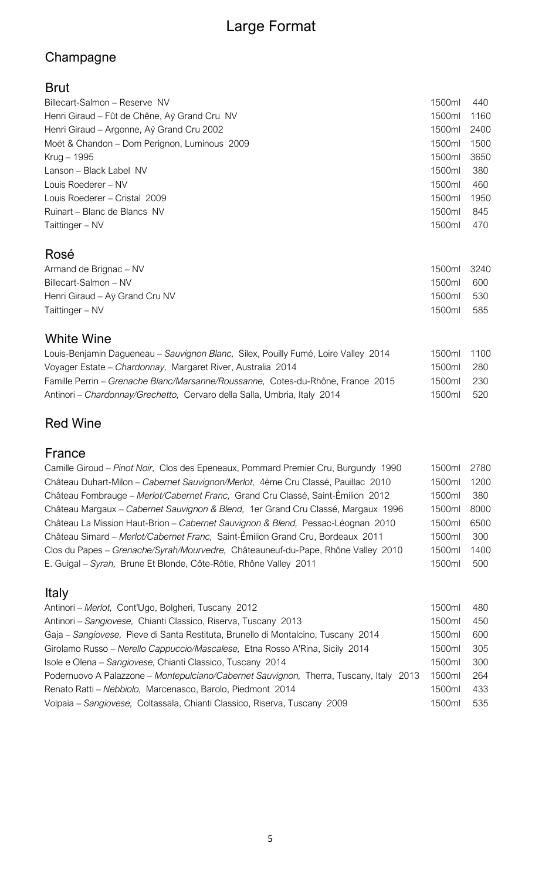# Large Format

# Champagne

### Brut

| Billecart-Salmon - Reserve NV                | 1500ml | 440  |
|----------------------------------------------|--------|------|
| Henri Giraud – Fût de Chêne, Aÿ Grand Cru NV | 1500ml | 1160 |
| Henri Giraud – Argonne, Aÿ Grand Cru 2002    | 1500ml | 2400 |
| Moët & Chandon - Dom Perignon, Luminous 2009 | 1500ml | 1500 |
| Krug – 1995                                  | 1500ml | 3650 |
| Lanson – Black Label NV                      | 1500ml | 380  |
| Louis Roederer - NV                          | 1500ml | 460  |
| Louis Roederer - Cristal 2009                | 1500ml | 1950 |
| Ruinart – Blanc de Blancs NV                 | 1500ml | 845  |
| Taittinger - NV                              | 1500ml | 470  |
| Rosé                                         |        |      |
| Armand de Brignac - NV                       | 1500ml | 3240 |
| Billecart-Salmon - NV                        | 1500ml | 600  |
| Henri Giraud - Aÿ Grand Cru NV               | 1500ml | 530  |
| Taittinger - NV                              | 1500ml | 585  |

### White Wine

| Louis-Benjamin Dagueneau - Sauvignon Blanc, Silex, Pouilly Fumé, Loire Valley 2014 | 1500ml 1100 |       |
|------------------------------------------------------------------------------------|-------------|-------|
| Voyager Estate - Chardonnay, Margaret River, Australia 2014                        | 1500ml      | - 280 |
| Famille Perrin - Grenache Blanc/Marsanne/Roussanne, Cotes-du-Rhône, France 2015    | 1500ml      | - 230 |
| Antinori - Chardonnay/Grechetto, Cervaro della Salla, Umbria, Italy 2014           | 1500ml      | - 520 |

# Red Wine

### France

| Camille Giroud - Pinot Noir, Clos des Epeneaux, Pommard Premier Cru, Burgundy 1990 | 1500ml | 2780 |
|------------------------------------------------------------------------------------|--------|------|
| Château Duhart-Milon - Cabernet Sauvignon/Merlot, 4ème Cru Classé, Pauillac 2010   | 1500ml | 1200 |
| Château Fombrauge - Merlot/Cabernet Franc, Grand Cru Classé, Saint-Émilion 2012    | 1500ml | 380  |
| Château Margaux - Cabernet Sauvignon & Blend, 1er Grand Cru Classé, Margaux 1996   | 1500ml | 8000 |
| Château La Mission Haut-Brion - Cabernet Sauvignon & Blend, Pessac-Léognan 2010    | 1500ml | 6500 |
| Château Simard - Merlot/Cabernet Franc, Saint-Émilion Grand Cru, Bordeaux 2011     | 1500ml | 300  |
| Clos du Papes - Grenache/Syrah/Mourvedre, Châteauneuf-du-Pape, Rhône Valley 2010   | 1500ml | 1400 |
| E. Guigal - Syrah, Brune Et Blonde, Côte-Rôtie, Rhône Valley 2011                  | 1500ml | 500  |
|                                                                                    |        |      |

# Italy

| Antinori - Merlot, Cont'Ugo, Bolgheri, Tuscany 2012                                    | 1500ml | 480 |
|----------------------------------------------------------------------------------------|--------|-----|
| Antinori - Sangiovese, Chianti Classico, Riserva, Tuscany 2013                         | 1500ml | 450 |
| Gaja – Sangiovese, Pieve di Santa Restituta, Brunello di Montalcino, Tuscany 2014      | 1500ml | 600 |
| Girolamo Russo – Nerello Cappuccio/Mascalese, Etna Rosso A'Rina, Sicily 2014           | 1500ml | 305 |
| Isole e Olena – Sangiovese, Chianti Classico, Tuscany 2014                             | 1500ml | 300 |
| Podernuovo A Palazzone - Montepulciano/Cabernet Sauvignon, Therra, Tuscany, Italy 2013 | 1500ml | 264 |
| Renato Ratti - Nebbiolo, Marcenasco, Barolo, Piedmont 2014                             | 1500ml | 433 |
| Volpaia - Sangiovese, Coltassala, Chianti Classico, Riserva, Tuscany 2009              | 1500ml | 535 |
|                                                                                        |        |     |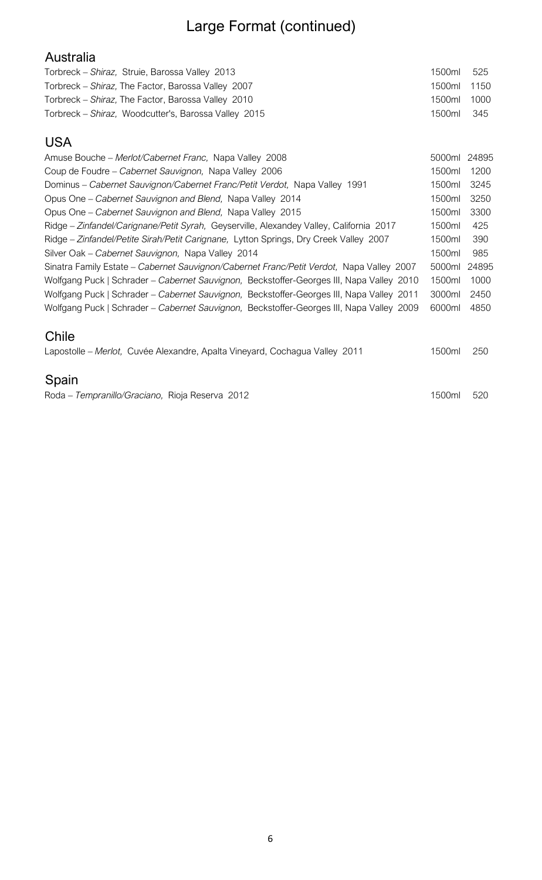# Large Format (continued)

| Australia                                            |             |       |
|------------------------------------------------------|-------------|-------|
| Torbreck – Shiraz, Struie, Barossa Valley 2013       | 1500ml      | 525   |
| Torbreck – Shiraz, The Factor, Barossa Valley 2007   | 1500ml 1150 |       |
| Torbreck – Shiraz, The Factor, Barossa Valley 2010   | 1500ml      | 1000  |
| Torbreck – Shiraz, Woodcutter's, Barossa Valley 2015 | 1500ml      | - 345 |

#### USA

| Amuse Bouche - Merlot/Cabernet Franc, Napa Valley 2008                                   | 5000ml | 24895 |
|------------------------------------------------------------------------------------------|--------|-------|
| Coup de Foudre – Cabernet Sauvignon, Napa Valley 2006                                    | 1500ml | 1200  |
| Dominus - Cabernet Sauvignon/Cabernet Franc/Petit Verdot, Napa Valley 1991               | 1500ml | 3245  |
| Opus One – Cabernet Sauvignon and Blend, Napa Valley 2014                                | 1500ml | 3250  |
| Opus One – Cabernet Sauvignon and Blend, Napa Valley 2015                                | 1500ml | 3300  |
| Ridge - Zinfandel/Carignane/Petit Syrah, Geyserville, Alexandey Valley, California 2017  | 1500ml | 425   |
| Ridge - Zinfandel/Petite Sirah/Petit Carignane, Lytton Springs, Dry Creek Valley 2007    | 1500ml | 390   |
| Silver Oak - Cabernet Sauvignon, Napa Valley 2014                                        | 1500ml | 985   |
| Sinatra Family Estate - Cabernet Sauvignon/Cabernet Franc/Petit Verdot, Napa Valley 2007 | 5000ml | 24895 |
| Wolfgang Puck   Schrader – Cabernet Sauvignon, Beckstoffer-Georges III, Napa Valley 2010 | 1500ml | 1000  |
| Wolfgang Puck   Schrader – Cabernet Sauvignon, Beckstoffer-Georges III, Napa Valley 2011 | 3000ml | 2450  |
| Wolfgang Puck   Schrader - Cabernet Sauvignon, Beckstoffer-Georges III, Napa Valley 2009 | 6000ml | 4850  |
| <b>A</b>                                                                                 |        |       |

#### Chile

| Lapostolle - Merlot, Cuvée Alexandre, Apalta Vineyard, Cochagua Valley 2011 |  |  | 1500ml 250 |  |
|-----------------------------------------------------------------------------|--|--|------------|--|
|                                                                             |  |  |            |  |

### Spain

Roda – Tempranillo/Graciano, Rioja Reserva 2012 1500ml 520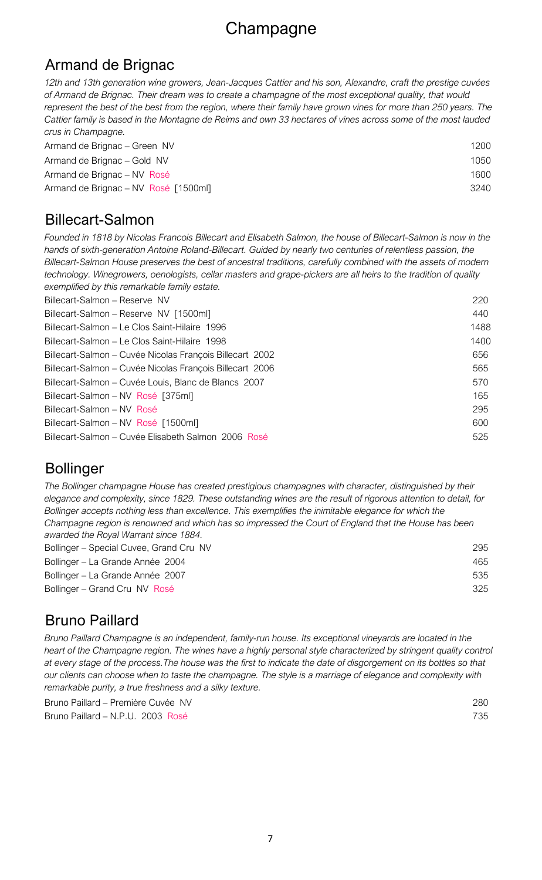# **Champagne**

### Armand de Brignac

*12th and 13th generation wine growers, Jean-Jacques Cattier and his son, Alexandre, craft the prestige cuvées of Armand de Brignac. Their dream was to create a champagne of the most exceptional quality, that would represent the best of the best from the region, where their family have grown vines for more than 250 years. The Cattier family is based in the Montagne de Reims and own 33 hectares of vines across some of the most lauded crus in Champagne.*

| Armand de Brignac – Green NV         | 1200 |
|--------------------------------------|------|
| Armand de Brignac – Gold NV          | 1050 |
| Armand de Brignac – NV Rosé          | 1600 |
| Armand de Brignac – NV Rosé [1500ml] | 3240 |

### Billecart-Salmon

*Founded in 1818 by Nicolas Francois Billecart and Elisabeth Salmon, the house of Billecart-Salmon is now in the hands of sixth-generation Antoine Roland-Billecart. Guided by nearly two centuries of relentless passion, the Billecart-Salmon House preserves the best of ancestral traditions, carefully combined with the assets of modern technology. Winegrowers, oenologists, cellar masters and grape-pickers are all heirs to the tradition of quality exemplified by this remarkable family estate.*

| Billecart-Salmon - Reserve NV                            | 220  |
|----------------------------------------------------------|------|
| Billecart-Salmon - Reserve NV [1500ml]                   | 440  |
| Billecart-Salmon – Le Clos Saint-Hilaire 1996            | 1488 |
| Billecart-Salmon – Le Clos Saint-Hilaire 1998            | 1400 |
| Billecart-Salmon – Cuvée Nicolas François Billecart 2002 | 656  |
| Billecart-Salmon – Cuvée Nicolas François Billecart 2006 | 565  |
| Billecart-Salmon – Cuvée Louis, Blanc de Blancs 2007     | 570  |
| Billecart-Salmon - NV Rosé [375ml]                       | 165  |
| Billecart-Salmon - NV Rosé                               | 295  |
| Billecart-Salmon - NV Rosé [1500ml]                      | 600  |
| Billecart-Salmon – Cuvée Elisabeth Salmon 2006 Rosé      | 525  |

# Bollinger

Bollinger – Special Cuvee, Grand Cru NV 295 *The Bollinger champagne House has created prestigious champagnes with character, distinguished by their elegance and complexity, since 1829. These outstanding wines are the result of rigorous attention to detail, for Bollinger accepts nothing less than excellence. This exemplifies the inimitable elegance for which the Champagne region is renowned and which has so impressed the Court of England that the House has been awarded the Royal Warrant since 1884.*

| Bollinger – La Grande Année 2004 | 465 |
|----------------------------------|-----|
| Bollinger – La Grande Année 2007 | 535 |
| Bollinger – Grand Cru NV Rosé    | 325 |
|                                  |     |

# Bruno Paillard

*Bruno Paillard Champagne is an independent, family-run house. Its exceptional vineyards are located in the heart of the Champagne region. The wines have a highly personal style characterized by stringent quality control at every stage of the process.The house was the first to indicate the date of disgorgement on its bottles so that our clients can choose when to taste the champagne. The style is a marriage of elegance and complexity with remarkable purity, a true freshness and a silky texture.*

Bruno Paillard – Première Cuvée NV 280 Bruno Paillard – N.P.U. 2003 Rosé 735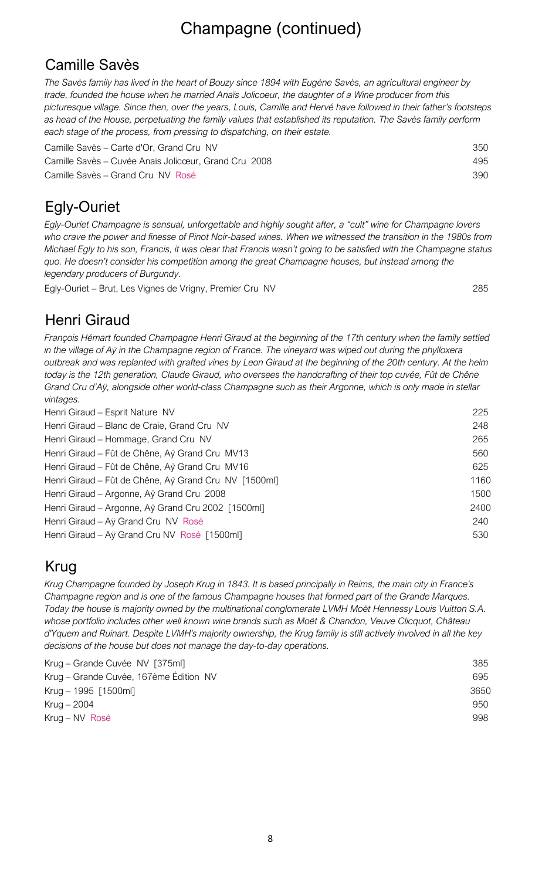# Camille Savès

*The Savès family has lived in the heart of Bouzy since 1894 with Eugène Savès, an agricultural engineer by trade, founded the house when he married Anaïs Jolicoeur, the daughter of a Wine producer from this picturesque village. Since then, over the years, Louis, Camille and Hervé have followed in their father's footsteps as head of the House, perpetuating the family values that established its reputation. The Savès family perform each stage of the process, from pressing to dispatching, on their estate.*

| Camille Savès – Carte d'Or, Grand Cru NV             | 350 |
|------------------------------------------------------|-----|
| Camille Savès – Cuvée Anaïs Jolicœur, Grand Cru 2008 | 495 |
| Camille Savès – Grand Cru NV Rosé                    | 390 |

# Egly-Ouriet

*Egly-Ouriet Champagne is sensual, unforgettable and highly sought after, a "cult" wine for Champagne lovers who crave the power and finesse of Pinot Noir-based wines. When we witnessed the transition in the 1980s from Michael Egly to his son, Francis, it was clear that Francis wasn't going to be satisfied with the Champagne status quo. He doesn't consider his competition among the great Champagne houses, but instead among the legendary producers of Burgundy.*

Egly-Ouriet – Brut, Les Vignes de Vrigny, Premier Cru NV 285

# Henri Giraud

*François Hémart founded Champagne Henri Giraud at the beginning of the 17th century when the family settled in the village of Aÿ in the Champagne region of France. The vineyard was wiped out during the phylloxera outbreak and was replanted with grafted vines by Leon Giraud at the beginning of the 20th century. At the helm today is the 12th generation, Claude Giraud, who oversees the handcrafting of their top cuvée, Fût de Chêne Grand Cru d'Aÿ, alongside other world-class Champagne such as their Argonne, which is only made in stellar vintages.*

| Henri Giraud - Esprit Nature NV                       | 225  |
|-------------------------------------------------------|------|
| Henri Giraud - Blanc de Craie, Grand Cru NV           | 248  |
| Henri Giraud - Hommage, Grand Cru NV                  | 265  |
| Henri Giraud – Fût de Chêne, Aÿ Grand Cru MV13        | 560  |
| Henri Giraud - Fût de Chêne, Aÿ Grand Cru MV16        | 625  |
| Henri Giraud – Fût de Chêne, Aÿ Grand Cru NV [1500ml] | 1160 |
| Henri Giraud - Argonne, Aÿ Grand Cru 2008             | 1500 |
| Henri Giraud - Argonne, Aÿ Grand Cru 2002 [1500ml]    | 2400 |
| Henri Giraud - Aÿ Grand Cru NV Rosé                   | 240  |
| Henri Giraud - Aÿ Grand Cru NV Rosé [1500ml]          | 530  |
|                                                       |      |

# Krug

*Krug Champagne founded by Joseph Krug in 1843. It is based principally in Reims, the main city in France's Champagne region and is one of the famous Champagne houses that formed part of the Grande Marques. Today the house is majority owned by the multinational conglomerate LVMH Moët Hennessy Louis Vuitton S.A. whose portfolio includes other well known wine brands such as Moët & Chandon, Veuve Clicquot, Château d'Yquem and Ruinart. Despite LVMH's majority ownership, the Krug family is still actively involved in all the key decisions of the house but does not manage the day-to-day operations.*

| Krug – Grande Cuvée NV [375ml]         | 385  |
|----------------------------------------|------|
| Krug – Grande Cuvée, 167ème Édition NV | 695  |
| Krug – 1995 [1500ml]                   | 3650 |
| Krug $-2004$                           | 950  |
| Krug – NV Rosé                         | 998  |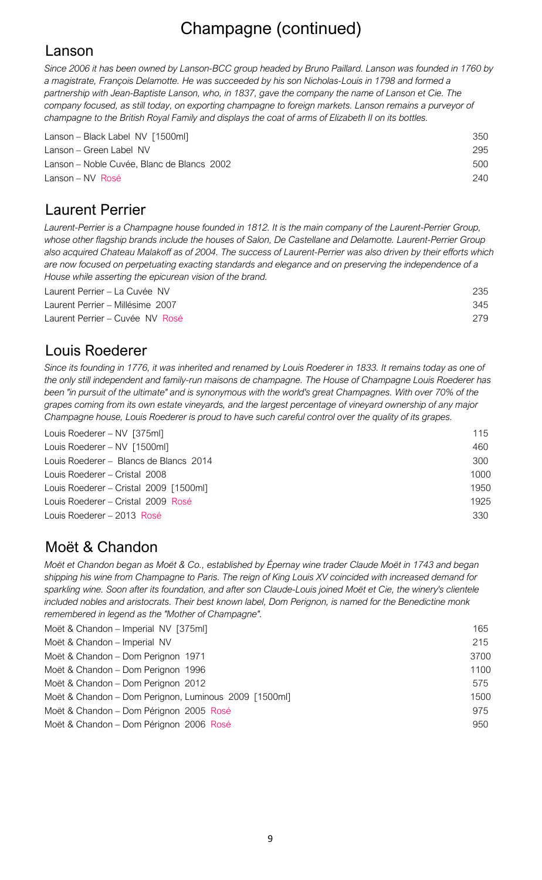### Lanson

*Since 2006 it has been owned by Lanson-BCC group headed by Bruno Paillard. Lanson was founded in 1760 by a magistrate, François Delamotte. He was succeeded by his son Nicholas-Louis in 1798 and formed a partnership with Jean-Baptiste Lanson, who, in 1837, gave the company the name of Lanson et Cie. The company focused, as still today, on exporting champagne to foreign markets. Lanson remains a purveyor of champagne to the British Royal Family and displays the coat of arms of Elizabeth II on its bottles.* 

| Lanson – Black Label NV [1500ml]           | 350 |
|--------------------------------------------|-----|
| Lanson – Green Label NV                    | 295 |
| Lanson – Noble Cuvée, Blanc de Blancs 2002 | 500 |
| Lanson – NV Rosé                           | 240 |

# Laurent Perrier

*Laurent-Perrier is a Champagne house founded in 1812. It is the main company of the Laurent-Perrier Group, whose other flagship brands include the houses of Salon, De Castellane and Delamotte. Laurent-Perrier Group also acquired Chateau Malakoff as of 2004. The success of Laurent-Perrier was also driven by their efforts which are now focused on perpetuating exacting standards and elegance and on preserving the independence of a House while asserting the epicurean vision of the brand.*

| Laurent Perrier – La Cuvée NV    | 235 |
|----------------------------------|-----|
| Laurent Perrier – Millésime 2007 | 345 |
| Laurent Perrier – Cuvée NV Rosé  | 279 |

### Louis Roederer

*Since its founding in 1776, it was inherited and renamed by Louis Roederer in 1833. It remains today as one of the only still independent and family-run maisons de champagne. The House of Champagne Louis Roederer has*  been "in pursuit of the ultimate" and is synonymous with the world's great Champagnes. With over 70% of the *grapes coming from its own estate vineyards, and the largest percentage of vineyard ownership of any major Champagne house, Louis Roederer is proud to have such careful control over the quality of its grapes.*

| Louis Roederer - NV [375ml]            | 115  |
|----------------------------------------|------|
| Louis Roederer - NV [1500ml]           | 460  |
| Louis Roederer – Blancs de Blancs 2014 | 300  |
| Louis Roederer – Cristal 2008          | 1000 |
| Louis Roederer - Cristal 2009 [1500ml] | 1950 |
| Louis Roederer – Cristal 2009 Rosé     | 1925 |
| Louis Roederer – 2013 Rosé             | 330  |
|                                        |      |

# Moët & Chandon

*Moët et Chandon began as Moët & Co., established by Épernay wine trader Claude Moët in 1743 and began shipping his wine from Champagne to Paris. The reign of King Louis XV coincided with increased demand for sparkling wine. Soon after its foundation, and after son Claude-Louis joined Moët et Cie, the winery's clientele included nobles and aristocrats. Their best known label, Dom Perignon, is named for the Benedictine monk remembered in legend as the "Mother of Champagne".* 

| Moët & Chandon - Imperial NV [375ml]                  | 165  |
|-------------------------------------------------------|------|
| Moët & Chandon - Imperial NV                          | 215  |
| Moët & Chandon - Dom Perignon 1971                    | 3700 |
| Moët & Chandon - Dom Perignon 1996                    | 1100 |
| Moët & Chandon - Dom Perignon 2012                    | 575  |
| Moët & Chandon - Dom Perignon, Luminous 2009 [1500ml] | 1500 |
| Moët & Chandon - Dom Pérignon 2005 Rosé               | 975  |
| Moët & Chandon - Dom Pérignon 2006 Rosé               | 950  |
|                                                       |      |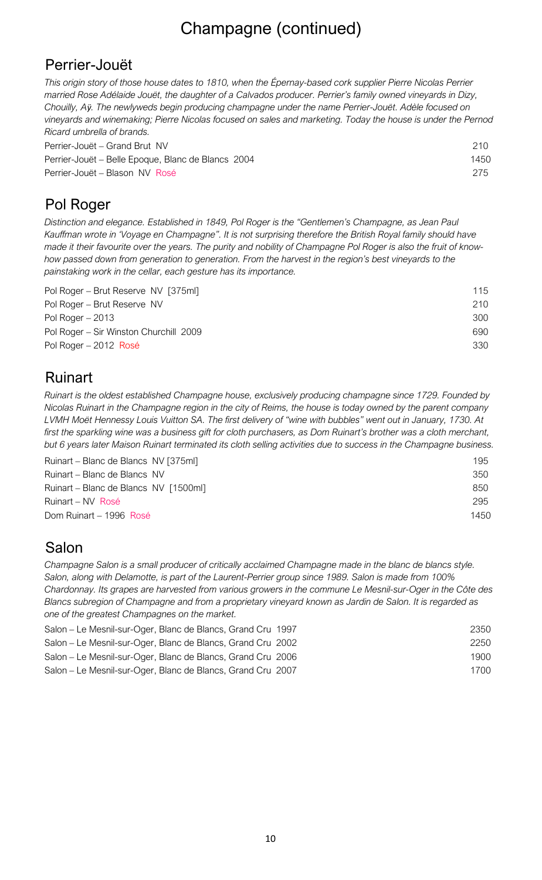### Perrier-Jouët

*This origin story of those house dates to 1810, when the Épernay-based cork supplier Pierre Nicolas Perrier married Rose Adélaide Jouët, the daughter of a Calvados producer. Perrier's family owned vineyards in Dizy, Chouilly, Aӱ. The newlyweds begin producing champagne under the name Perrier-Jouët. Adèle focused on vineyards and winemaking; Pierre Nicolas focused on sales and marketing. Today the house is under the Pernod Ricard umbrella of brands.*

| Perrier-Jouët – Grand Brut NV                      | 210  |
|----------------------------------------------------|------|
| Perrier-Jouët – Belle Epoque, Blanc de Blancs 2004 | 1450 |
| Perrier-Jouët – Blason NV Rosé                     | 275  |

# Pol Roger

*Distinction and elegance. Established in 1849, Pol Roger is the "Gentlemen's Champagne, as Jean Paul Kauffman wrote in 'Voyage en Champagne". It is not surprising therefore the British Royal family should have made it their favourite over the years. The purity and nobility of Champagne Pol Roger is also the fruit of knowhow passed down from generation to generation. From the harvest in the region's best vineyards to the painstaking work in the cellar, each gesture has its importance.*

| Pol Roger – Brut Reserve NV [375ml]    | 115 |  |
|----------------------------------------|-----|--|
| Pol Roger – Brut Reserve NV            | 210 |  |
| Pol Roger $-2013$                      | 300 |  |
| Pol Roger – Sir Winston Churchill 2009 | 690 |  |
| Pol Roger – 2012 Rosé                  | 330 |  |

### Ruinart

*Ruinart is the oldest established Champagne house, exclusively producing champagne since 1729. Founded by Nicolas Ruinart in the Champagne region in the city of Reims, the house is today owned by the parent company LVMH Moët Hennessy Louis Vuitton SA. The first delivery of "wine with bubbles" went out in January, 1730. At*  first the sparkling wine was a business gift for cloth purchasers, as Dom Ruinart's brother was a cloth merchant, *but 6 years later Maison Ruinart terminated its cloth selling activities due to success in the Champagne business.* 

| Ruinart – Blanc de Blancs NV [375ml]  | 195  |
|---------------------------------------|------|
| Ruinart – Blanc de Blancs NV          | 350  |
| Ruinart – Blanc de Blancs NV [1500ml] | 850  |
| Ruinart – NV Rosé                     | 295  |
| Dom Ruinart - 1996 Rosé               | 1450 |

# Salon

*Champagne Salon is a small producer of critically acclaimed Champagne made in the blanc de blancs style. Salon, along with Delamotte, is part of the Laurent-Perrier group since 1989. Salon is made from 100% Chardonnay. Its grapes are harvested from various growers in the commune Le Mesnil-sur-Oger in the Côte des Blancs subregion of Champagne and from a proprietary vineyard known as Jardin de Salon. It is regarded as one of the greatest Champagnes on the market.*

| Salon – Le Mesnil-sur-Oger, Blanc de Blancs, Grand Cru 1997<br>Salon – Le Mesnil-sur-Oger, Blanc de Blancs, Grand Cru 2002 | 2350 |
|----------------------------------------------------------------------------------------------------------------------------|------|
|                                                                                                                            | 2250 |
| Salon – Le Mesnil-sur-Oger, Blanc de Blancs, Grand Cru 2006                                                                | 1900 |
| Salon – Le Mesnil-sur-Oger, Blanc de Blancs, Grand Cru 2007                                                                | 1700 |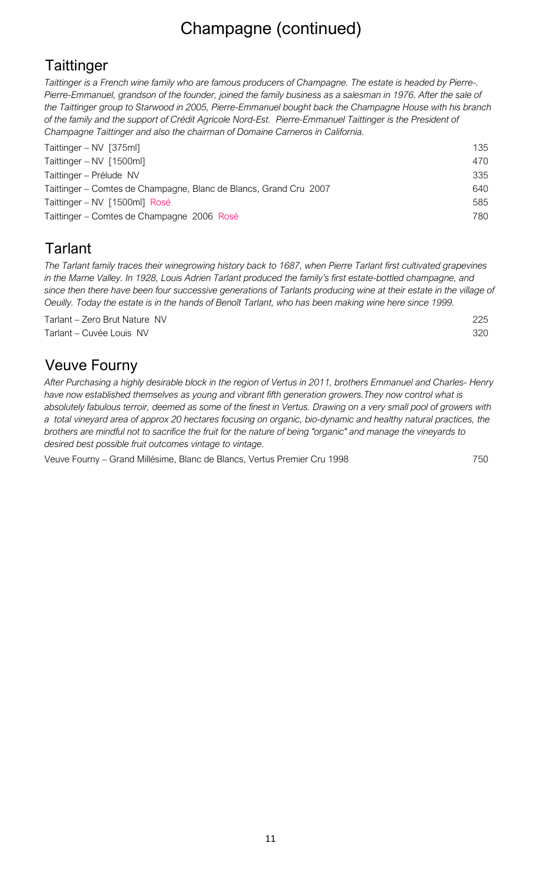# **Taittinger**

*Taittinger is a French wine family who are famous producers of Champagne. The estate is headed by Pierre-. Pierre-Emmanuel, grandson of the founder, joined the family business as a salesman in 1976. After the sale of the Taittinger group to Starwood in 2005, Pierre-Emmanuel bought back the Champagne House with his branch of the family and the support of Crédit Agricole Nord-Est. Pierre-Emmanuel Taittinger is the President of Champagne Taittinger and also the chairman of Domaine Carneros in California.* 

| Taittinger – NV [375ml]                                           | 135  |
|-------------------------------------------------------------------|------|
| Taittinger – NV $[1500ml]$                                        | 470  |
| Taittinger – Prélude NV                                           | 335  |
| Taittinger – Comtes de Champagne, Blanc de Blancs, Grand Cru 2007 | 640. |
| Taittinger – NV [1500ml] Rosé                                     | 585  |
| Taittinger – Comtes de Champagne 2006 Rosé                        | 780  |

# **Tarlant**

*The Tarlant family traces their winegrowing history back to 1687, when Pierre Tarlant first cultivated grapevines in the Marne Valley. In 1928, Louis Adrien Tarlant produced the family's first estate-bottled champagne, and since then there have been four successive generations of Tarlants producing wine at their estate in the village of Oeuilly. Today the estate is in the hands of Benoît Tarlant, who has been making wine here since 1999.*

Tarlant – Zero Brut Nature NV 225 Tarlant – Cuvée Louis NV 320

### Veuve Fourny

*After Purchasing a highly desirable block in the region of Vertus in 2011, brothers Emmanuel and Charles- Henry have now established themselves as young and vibrant fifth generation growers.They now control what is absolutely fabulous terroir, deemed as some of the finest in Vertus. Drawing on a very small pool of growers with a total vineyard area of approx 20 hectares focusing on organic, bio-dynamic and healthy natural practices, the brothers are mindful not to sacrifice the fruit for the nature of being "organic" and manage the vineyards to desired best possible fruit outcomes vintage to vintage.*

Veuve Fourny – Grand Millésime, Blanc de Blancs, Vertus Premier Cru 1998 750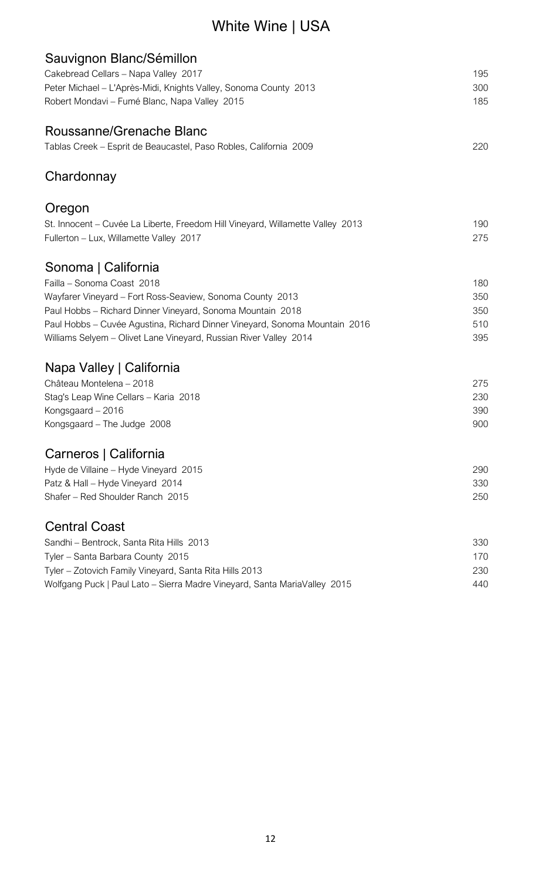# White Wine | USA

| Sauvignon Blanc/Sémillon                                                       |     |
|--------------------------------------------------------------------------------|-----|
| Cakebread Cellars - Napa Valley 2017                                           | 195 |
| Peter Michael - L'Après-Midi, Knights Valley, Sonoma County 2013               | 300 |
| Robert Mondavi - Fumé Blanc, Napa Valley 2015                                  | 185 |
| Roussanne/Grenache Blanc                                                       |     |
| Tablas Creek - Esprit de Beaucastel, Paso Robles, California 2009              | 220 |
| Chardonnay                                                                     |     |
| Oregon                                                                         |     |
| St. Innocent – Cuvée La Liberte, Freedom Hill Vineyard, Willamette Valley 2013 | 190 |
| Fullerton - Lux, Willamette Valley 2017                                        | 275 |
| Sonoma   California                                                            |     |
| Failla - Sonoma Coast 2018                                                     | 180 |
| Wayfarer Vineyard - Fort Ross-Seaview, Sonoma County 2013                      | 350 |
| Paul Hobbs - Richard Dinner Vineyard, Sonoma Mountain 2018                     | 350 |
| Paul Hobbs - Cuvée Agustina, Richard Dinner Vineyard, Sonoma Mountain 2016     | 510 |
| Williams Selyem - Olivet Lane Vineyard, Russian River Valley 2014              | 395 |
| Napa Valley   California                                                       |     |
| Château Montelena - 2018                                                       | 275 |
| Stag's Leap Wine Cellars - Karia 2018                                          | 230 |
| Kongsgaard – 2016                                                              | 390 |
| Kongsgaard - The Judge 2008                                                    | 900 |
| Carneros   California                                                          |     |
| Hyde de Villaine - Hyde Vineyard 2015                                          | 290 |
| Patz & Hall - Hyde Vineyard 2014                                               | 330 |
| Shafer - Red Shoulder Ranch 2015                                               | 250 |
| <b>Central Coast</b>                                                           |     |
| Sandhi - Bentrock, Santa Rita Hills 2013                                       | 330 |
| Tyler - Santa Barbara County 2015                                              | 170 |
| Tyler - Zotovich Family Vineyard, Santa Rita Hills 2013                        | 230 |
| Wolfgang Puck   Paul Lato – Sierra Madre Vineyard, Santa MariaValley 2015      | 440 |
|                                                                                |     |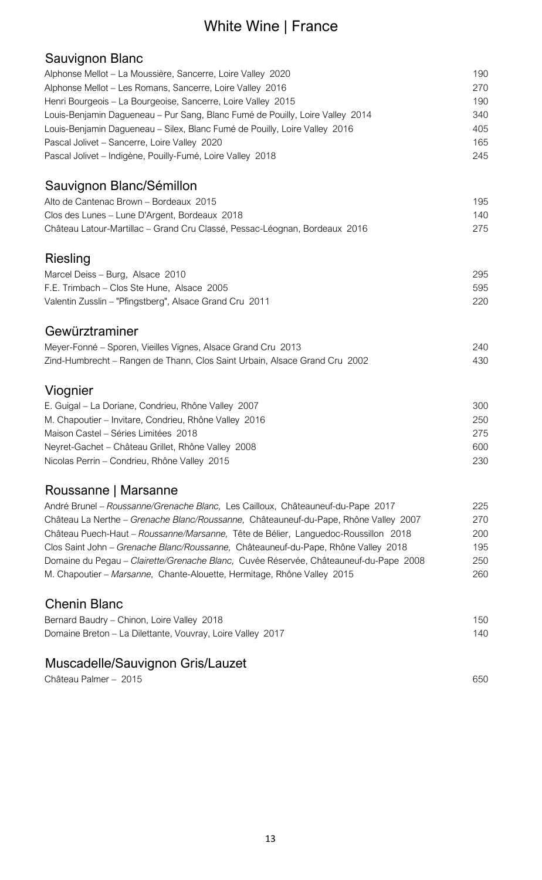# White Wine | France

#### Sauvignon Blanc

| Alphonse Mellot – La Moussière, Sancerre, Loire Valley 2020                           | 190 |
|---------------------------------------------------------------------------------------|-----|
| Alphonse Mellot - Les Romans, Sancerre, Loire Valley 2016                             | 270 |
| Henri Bourgeois - La Bourgeoise, Sancerre, Loire Valley 2015                          | 190 |
|                                                                                       |     |
| Louis-Benjamin Dagueneau - Pur Sang, Blanc Fumé de Pouilly, Loire Valley 2014         | 340 |
| Louis-Benjamin Dagueneau - Silex, Blanc Fumé de Pouilly, Loire Valley 2016            | 405 |
| Pascal Jolivet - Sancerre, Loire Valley 2020                                          | 165 |
| Pascal Jolivet - Indigène, Pouilly-Fumé, Loire Valley 2018                            | 245 |
| Sauvignon Blanc/Sémillon                                                              |     |
| Alto de Cantenac Brown - Bordeaux 2015                                                | 195 |
| Clos des Lunes - Lune D'Argent, Bordeaux 2018                                         | 140 |
| Château Latour-Martillac - Grand Cru Classé, Pessac-Léognan, Bordeaux 2016            | 275 |
|                                                                                       |     |
| <b>Riesling</b>                                                                       |     |
| Marcel Deiss - Burg, Alsace 2010                                                      | 295 |
| F.E. Trimbach - Clos Ste Hune, Alsace 2005                                            | 595 |
| Valentin Zusslin - "Pfingstberg", Alsace Grand Cru 2011                               | 220 |
| Gewürztraminer                                                                        |     |
| Meyer-Fonné – Sporen, Vieilles Vignes, Alsace Grand Cru 2013                          | 240 |
| Zind-Humbrecht - Rangen de Thann, Clos Saint Urbain, Alsace Grand Cru 2002            | 430 |
|                                                                                       |     |
| Viognier                                                                              |     |
| E. Guigal – La Doriane, Condrieu, Rhône Valley 2007                                   | 300 |
| M. Chapoutier - Invitare, Condrieu, Rhône Valley 2016                                 | 250 |
| Maison Castel - Séries Limitées 2018                                                  | 275 |
| Neyret-Gachet - Château Grillet, Rhône Valley 2008                                    | 600 |
| Nicolas Perrin - Condrieu, Rhône Valley 2015                                          | 230 |
| Roussanne   Marsanne                                                                  |     |
| André Brunel - Roussanne/Grenache Blanc, Les Cailloux, Châteauneuf-du-Pape 2017       | 225 |
| Château La Nerthe - Grenache Blanc/Roussanne, Châteauneuf-du-Pape, Rhône Valley 2007  | 270 |
|                                                                                       |     |
| Château Puech-Haut - Roussanne/Marsanne, Tête de Bélier, Languedoc-Roussillon 2018    | 200 |
| Clos Saint John - Grenache Blanc/Roussanne, Châteauneuf-du-Pape, Rhône Valley 2018    | 195 |
| Domaine du Pegau - Clairette/Grenache Blanc, Cuvée Réservée, Châteauneuf-du-Pape 2008 | 250 |
| M. Chapoutier - Marsanne, Chante-Alouette, Hermitage, Rhône Valley 2015               | 260 |
| <b>Chenin Blanc</b>                                                                   |     |
| Bernard Baudry - Chinon, Loire Valley 2018                                            | 150 |
| Domaine Breton - La Dilettante, Vouvray, Loire Valley 2017                            | 140 |
|                                                                                       |     |
|                                                                                       |     |

### Muscadelle/Sauvignon Gris/Lauzet

Château Palmer – 2015 650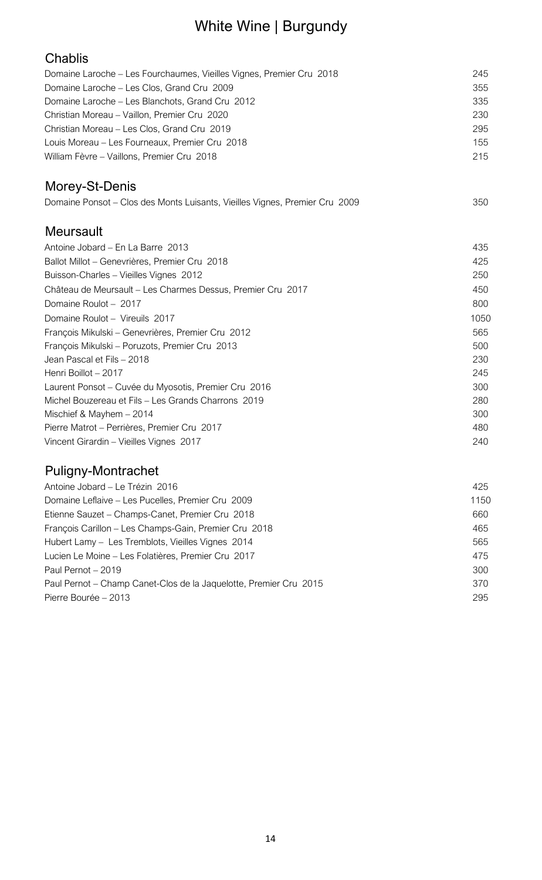# White Wine | Burgundy

| Chablis                                                                     |      |
|-----------------------------------------------------------------------------|------|
| Domaine Laroche - Les Fourchaumes, Vieilles Vignes, Premier Cru 2018        | 245  |
| Domaine Laroche - Les Clos, Grand Cru 2009                                  | 355  |
| Domaine Laroche - Les Blanchots, Grand Cru 2012                             | 335  |
| Christian Moreau - Vaillon, Premier Cru 2020                                | 230  |
| Christian Moreau - Les Clos, Grand Cru 2019                                 | 295  |
| Louis Moreau - Les Fourneaux, Premier Cru 2018                              | 155  |
| William Fèvre - Vaillons, Premier Cru 2018                                  | 215  |
| Morey-St-Denis                                                              |      |
| Domaine Ponsot - Clos des Monts Luisants, Vieilles Vignes, Premier Cru 2009 | 350  |
| <b>Meursault</b>                                                            |      |
| Antoine Jobard - En La Barre 2013                                           | 435  |
| Ballot Millot - Genevrières, Premier Cru 2018                               | 425  |
| Buisson-Charles - Vieilles Vignes 2012                                      | 250  |
| Château de Meursault - Les Charmes Dessus, Premier Cru 2017                 | 450  |
| Domaine Roulot - 2017                                                       | 800  |
| Domaine Roulot - Vireuils 2017                                              | 1050 |
| François Mikulski - Genevrières, Premier Cru 2012                           | 565  |
| François Mikulski - Poruzots, Premier Cru 2013                              | 500  |
| Jean Pascal et Fils - 2018                                                  | 230  |
| Henri Boillot - 2017                                                        | 245  |
| Laurent Ponsot – Cuvée du Myosotis, Premier Cru 2016                        | 300  |
| Michel Bouzereau et Fils - Les Grands Charrons 2019                         | 280  |
| Mischief & Mayhem - 2014                                                    | 300  |
| Pierre Matrot - Perrières, Premier Cru 2017                                 | 480  |
| Vincent Girardin - Vieilles Vignes 2017                                     | 240  |
|                                                                             |      |

# Puligny-Montrachet

| Antoine Jobard – Le Trézin 2016                                   | 425  |
|-------------------------------------------------------------------|------|
| Domaine Leflaive – Les Pucelles, Premier Cru 2009                 | 1150 |
| Etienne Sauzet - Champs-Canet, Premier Cru 2018                   | 660  |
| François Carillon - Les Champs-Gain, Premier Cru 2018             | 465  |
| Hubert Lamy - Les Tremblots, Vieilles Vignes 2014                 | 565  |
| Lucien Le Moine - Les Folatières, Premier Cru 2017                | 475  |
| Paul Pernot - 2019                                                | 300  |
| Paul Pernot - Champ Canet-Clos de la Jaquelotte, Premier Cru 2015 | 370  |
| Pierre Bourée – 2013                                              | 295  |
|                                                                   |      |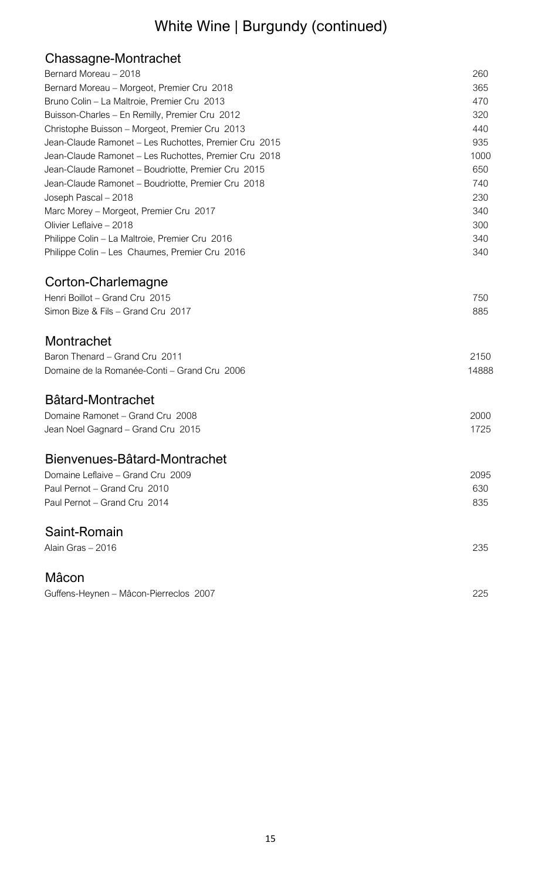# White Wine | Burgundy (continued)

# Chassagne-Montrachet

| Bernard Moreau - 2018                                 | 260   |
|-------------------------------------------------------|-------|
| Bernard Moreau - Morgeot, Premier Cru 2018            | 365   |
| Bruno Colin - La Maltroie, Premier Cru 2013           | 470   |
| Buisson-Charles - En Remilly, Premier Cru 2012        | 320   |
| Christophe Buisson - Morgeot, Premier Cru 2013        | 440   |
| Jean-Claude Ramonet - Les Ruchottes, Premier Cru 2015 | 935   |
| Jean-Claude Ramonet - Les Ruchottes, Premier Cru 2018 | 1000  |
| Jean-Claude Ramonet - Boudriotte, Premier Cru 2015    | 650   |
| Jean-Claude Ramonet - Boudriotte, Premier Cru 2018    | 740   |
| Joseph Pascal - 2018                                  | 230   |
| Marc Morey - Morgeot, Premier Cru 2017                | 340   |
| Olivier Leflaive - 2018                               | 300   |
| Philippe Colin - La Maltroie, Premier Cru 2016        | 340   |
| Philippe Colin - Les Chaumes, Premier Cru 2016        | 340   |
| Corton-Charlemagne                                    |       |
| Henri Boillot - Grand Cru 2015                        | 750   |
| Simon Bize & Fils - Grand Cru 2017                    | 885   |
| Montrachet                                            |       |
| Baron Thenard - Grand Cru 2011                        | 2150  |
| Domaine de la Romanée-Conti - Grand Cru 2006          | 14888 |
| Bâtard-Montrachet                                     |       |
| Domaine Ramonet - Grand Cru 2008                      | 2000  |
| Jean Noel Gagnard - Grand Cru 2015                    | 1725  |
| Bienvenues-Bâtard-Montrachet                          |       |
| Domaine Leflaive - Grand Cru 2009                     | 2095  |
| Paul Pernot – Grand Cru 2010                          | 630   |
| Paul Pernot - Grand Cru 2014                          | 835   |
| Saint-Romain                                          |       |
| Alain Gras - 2016                                     | 235   |
| Mâcon                                                 |       |
| Guffens-Heynen - Mâcon-Pierreclos 2007                | 225   |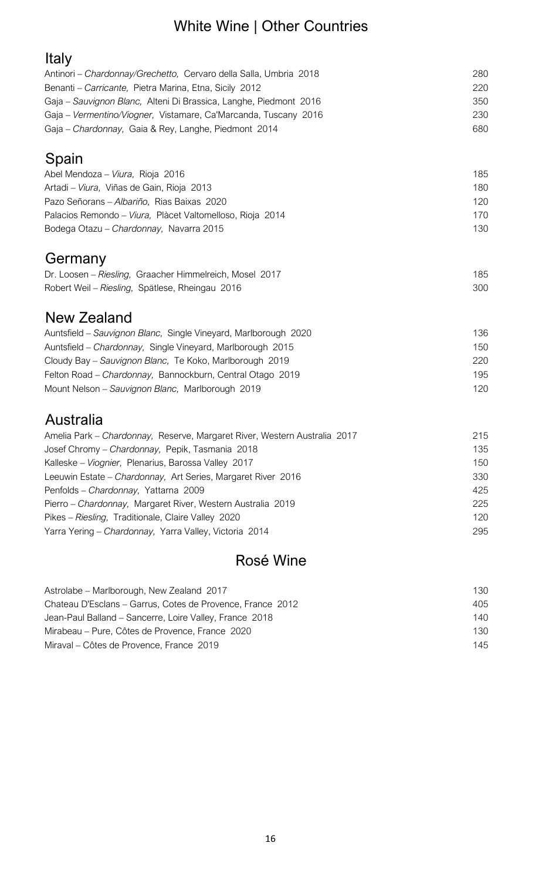# White Wine | Other Countries

| Antinori – Chardonnay/Grechetto, Cervaro della Salla, Umbria 2018 | 280 |
|-------------------------------------------------------------------|-----|
| Benanti – Carricante, Pietra Marina, Etna, Sicily 2012            | 220 |
| Gaja – Sauvignon Blanc, Alteni Di Brassica, Langhe, Piedmont 2016 | 350 |
| Gaja – Vermentino/Viogner, Vistamare, Ca'Marcanda, Tuscany 2016   | 230 |
| Gaja - Chardonnay, Gaja & Rey, Langhe, Piedmont 2014              | 680 |
|                                                                   |     |

# Spain

| Abel Mendoza - Viura, Rioja 2016                          | 185 |
|-----------------------------------------------------------|-----|
| Artadi – <i>Viura</i> , Viñas de Gain, Rioja 2013         | 180 |
| Pazo Señorans – Albariño, Rias Baixas 2020                | 120 |
| Palacios Remondo – Viura, Plàcet Valtomelloso, Rioja 2014 | 170 |
| Bodega Otazu – Chardonnay, Navarra 2015                   | 130 |

# **Germany**

| Dr. Loosen - Riesling, Graacher Himmelreich, Mosel 2017 | 185 |
|---------------------------------------------------------|-----|
| Robert Weil - Riesling, Spätlese, Rheingau 2016         | 300 |

# New Zealand

| Auntsfield – Sauvignon Blanc, Single Vineyard, Marlborough 2020 | 136 |
|-----------------------------------------------------------------|-----|
| Auntsfield - Chardonnay, Single Vineyard, Marlborough 2015      | 150 |
| Cloudy Bay - Sauvignon Blanc, Te Koko, Marlborough 2019         | 220 |
| Felton Road – Chardonnay, Bannockburn, Central Otago 2019       | 195 |
| Mount Nelson – Sauvignon Blanc, Marlborough 2019                | 120 |

# Australia

| Amelia Park - Chardonnay, Reserve, Margaret River, Western Australia 2017 | 215 |
|---------------------------------------------------------------------------|-----|
| Josef Chromy - Chardonnay, Pepik, Tasmania 2018                           | 135 |
| Kalleske – Viognier, Plenarius, Barossa Valley 2017                       | 150 |
| Leeuwin Estate - Chardonnay, Art Series, Margaret River 2016              | 330 |
| Penfolds - Chardonnay, Yattarna 2009                                      | 425 |
| Pierro - Chardonnay, Margaret River, Western Australia 2019               | 225 |
| Pikes - Riesling, Traditionale, Claire Valley 2020                        | 120 |
| Yarra Yering - Chardonnay, Yarra Valley, Victoria 2014                    | 295 |
|                                                                           |     |

# Rosé Wine

| Astrolabe – Marlborough, New Zealand 2017                  | 130 |
|------------------------------------------------------------|-----|
| Chateau D'Esclans – Garrus, Cotes de Provence, France 2012 | 405 |
| Jean-Paul Balland – Sancerre, Loire Valley, France 2018    | 140 |
| Mirabeau – Pure, Côtes de Provence, France 2020            | 130 |
| Miraval – Côtes de Provence, France 2019                   | 145 |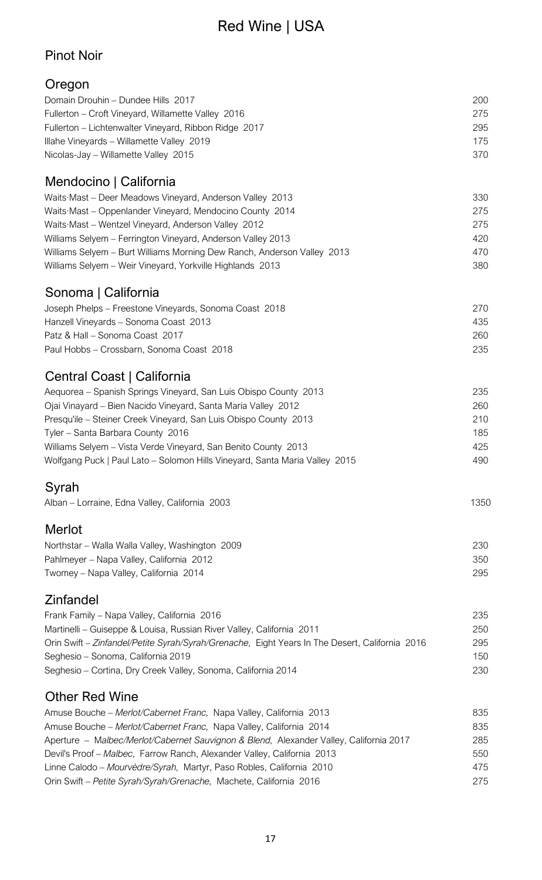# Red Wine | USA

### Pinot Noir

### Oregon

| Domain Drouhin - Dundee Hills 2017                                                             | 200  |
|------------------------------------------------------------------------------------------------|------|
| Fullerton - Croft Vineyard, Willamette Valley 2016                                             | 275  |
| Fullerton - Lichtenwalter Vineyard, Ribbon Ridge 2017                                          | 295  |
| Illahe Vineyards - Willamette Valley 2019                                                      | 175  |
| Nicolas-Jay - Willamette Valley 2015                                                           | 370  |
| Mendocino   California                                                                         |      |
| Waits Mast - Deer Meadows Vineyard, Anderson Valley 2013                                       | 330  |
| Waits Mast - Oppenlander Vineyard, Mendocino County 2014                                       | 275  |
| Waits Mast - Wentzel Vineyard, Anderson Valley 2012                                            | 275  |
| Williams Selyem - Ferrington Vineyard, Anderson Valley 2013                                    | 420  |
| Williams Selyem - Burt Williams Morning Dew Ranch, Anderson Valley 2013                        | 470  |
| Williams Selyem - Weir Vineyard, Yorkville Highlands 2013                                      | 380  |
| Sonoma   California                                                                            |      |
| Joseph Phelps - Freestone Vineyards, Sonoma Coast 2018                                         | 270  |
| Hanzell Vineyards - Sonoma Coast 2013                                                          | 435  |
| Patz & Hall - Sonoma Coast 2017                                                                | 260  |
| Paul Hobbs - Crossbarn, Sonoma Coast 2018                                                      | 235  |
| Central Coast   California                                                                     |      |
| Aequorea - Spanish Springs Vineyard, San Luis Obispo County 2013                               | 235  |
| Ojai Vinayard - Bien Nacido Vineyard, Santa Maria Valley 2012                                  | 260  |
| Presqu'ile - Steiner Creek Vineyard, San Luis Obispo County 2013                               | 210  |
| Tyler - Santa Barbara County 2016                                                              | 185  |
| Williams Selyem - Vista Verde Vineyard, San Benito County 2013                                 | 425  |
| Wolfgang Puck   Paul Lato - Solomon Hills Vineyard, Santa Maria Valley 2015                    | 490  |
| Syrah                                                                                          |      |
| Alban - Lorraine, Edna Valley, California 2003                                                 | 1350 |
| Merlot                                                                                         |      |
| Northstar - Walla Walla Valley, Washington 2009                                                | 230  |
| Pahlmeyer - Napa Valley, California 2012                                                       | 350  |
| Twomey - Napa Valley, California 2014                                                          | 295  |
| <b>Zinfandel</b>                                                                               |      |
| Frank Family - Napa Valley, California 2016                                                    | 235  |
| Martinelli - Guiseppe & Louisa, Russian River Valley, California 2011                          | 250  |
| Orin Swift - Zinfandel/Petite Syrah/Syrah/Grenache, Eight Years In The Desert, California 2016 | 295  |
| Seghesio - Sonoma, California 2019                                                             | 150  |
| Seghesio – Cortina, Dry Creek Valley, Sonoma, California 2014                                  | 230  |
| <b>Other Red Wine</b>                                                                          |      |
| Amuse Bouche - Merlot/Cabernet Franc, Napa Valley, California 2013                             | 835  |
| Amuse Bouche - Merlot/Cabernet Franc, Napa Valley, California 2014                             | 835  |
| Aperture - Malbec/Merlot/Cabernet Sauvignon & Blend, Alexander Valley, California 2017         | 285  |
| Devil's Proof - Malbec, Farrow Ranch, Alexander Valley, California 2013                        | 550  |
| Linne Calodo - Mourvèdre/Syrah, Martyr, Paso Robles, California 2010                           | 475  |

Orin Swift – *Petite Syrah/Syrah/Grenache,* Machete, California 2016 275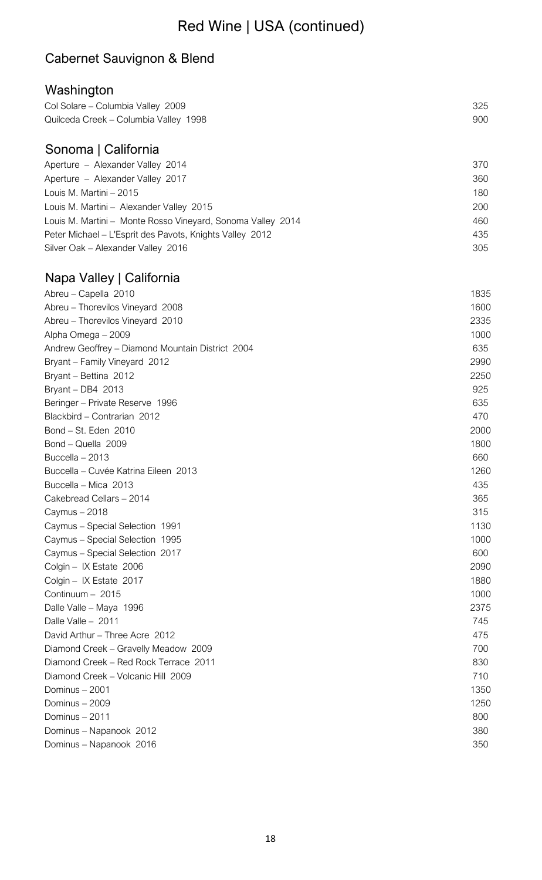# Red Wine | USA (continued)

### Cabernet Sauvignon & Blend

### Washington

| Col Solare - Columbia Valley 2009     | 325 |
|---------------------------------------|-----|
| Quilceda Creek – Columbia Valley 1998 | 900 |
|                                       |     |
|                                       |     |

# Sonoma | California

| Aperture - Alexander Valley 2014                            | 370 |
|-------------------------------------------------------------|-----|
| Aperture - Alexander Valley 2017                            | 360 |
| Louis M. Martini – 2015                                     | 180 |
| Louis M. Martini - Alexander Valley 2015                    | 200 |
| Louis M. Martini - Monte Rosso Vineyard, Sonoma Valley 2014 | 460 |
| Peter Michael - L'Esprit des Pavots, Knights Valley 2012    | 435 |
| Silver Oak - Alexander Valley 2016                          | 305 |

# Napa Valley | California

| Abreu - Capella 2010                             | 1835 |
|--------------------------------------------------|------|
| Abreu - Thorevilos Vineyard 2008                 | 1600 |
| Abreu - Thorevilos Vineyard 2010                 | 2335 |
| Alpha Omega - 2009                               | 1000 |
| Andrew Geoffrey - Diamond Mountain District 2004 | 635  |
| Bryant - Family Vineyard 2012                    | 2990 |
| Bryant - Bettina 2012                            | 2250 |
| Bryant - DB4 2013                                | 925  |
| Beringer - Private Reserve 1996                  | 635  |
| Blackbird - Contrarian 2012                      | 470  |
| Bond - St. Eden 2010                             | 2000 |
| Bond - Quella 2009                               | 1800 |
| Buccella - 2013                                  | 660  |
| Buccella - Cuvée Katrina Eileen 2013             | 1260 |
| Buccella - Mica 2013                             | 435  |
| Cakebread Cellars - 2014                         | 365  |
| Caymus - 2018                                    | 315  |
| Caymus - Special Selection 1991                  | 1130 |
| Caymus - Special Selection 1995                  | 1000 |
| Caymus - Special Selection 2017                  | 600  |
| Colgin - IX Estate 2006                          | 2090 |
| Colgin - IX Estate 2017                          | 1880 |
| Continuum - 2015                                 | 1000 |
| Dalle Valle - Maya 1996                          | 2375 |
| Dalle Valle - 2011                               | 745  |
| David Arthur - Three Acre 2012                   | 475  |
| Diamond Creek - Gravelly Meadow 2009             | 700  |
| Diamond Creek - Red Rock Terrace 2011            | 830  |
| Diamond Creek - Volcanic Hill 2009               | 710  |
| Dominus - 2001                                   | 1350 |
| Dominus - 2009                                   | 1250 |
| Dominus - 2011                                   | 800  |
| Dominus - Napanook 2012                          | 380  |
| Dominus - Napanook 2016                          | 350  |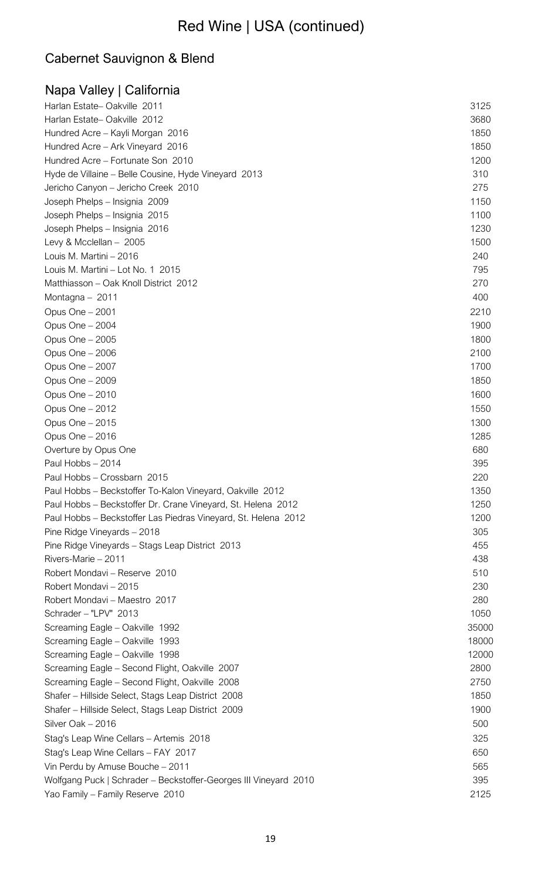# Red Wine | USA (continued)

# Cabernet Sauvignon & Blend

| Napa Valley   California                                         |       |
|------------------------------------------------------------------|-------|
| Harlan Estate-Oakville 2011                                      | 3125  |
| Harlan Estate-Oakville 2012                                      | 3680  |
| Hundred Acre - Kayli Morgan 2016                                 | 1850  |
| Hundred Acre - Ark Vineyard 2016                                 | 1850  |
| Hundred Acre - Fortunate Son 2010                                | 1200  |
| Hyde de Villaine - Belle Cousine, Hyde Vineyard 2013             | 310   |
| Jericho Canyon - Jericho Creek 2010                              | 275   |
| Joseph Phelps - Insignia 2009                                    | 1150  |
| Joseph Phelps - Insignia 2015                                    | 1100  |
| Joseph Phelps - Insignia 2016                                    | 1230  |
| Levy & Mcclellan - 2005                                          | 1500  |
| Louis M. Martini - 2016                                          | 240   |
| Louis M. Martini - Lot No. 1 2015                                | 795   |
| Matthiasson - Oak Knoll District 2012                            | 270   |
| Montagna - 2011                                                  | 400   |
| Opus One - 2001                                                  | 2210  |
| Opus One - 2004                                                  | 1900  |
| Opus One - 2005                                                  | 1800  |
| Opus One - 2006                                                  | 2100  |
| Opus One - 2007                                                  | 1700  |
| Opus One - 2009                                                  | 1850  |
| Opus One - 2010                                                  | 1600  |
| Opus One - 2012                                                  | 1550  |
| Opus One - 2015                                                  | 1300  |
| Opus One - 2016                                                  | 1285  |
| Overture by Opus One                                             | 680   |
| Paul Hobbs - 2014                                                | 395   |
| Paul Hobbs - Crossbarn 2015                                      | 220   |
| Paul Hobbs - Beckstoffer To-Kalon Vineyard, Oakville 2012        | 1350  |
| Paul Hobbs – Beckstoffer Dr. Crane Vineyard, St. Helena 2012     | 1250  |
| Paul Hobbs - Beckstoffer Las Piedras Vineyard, St. Helena 2012   | 1200  |
| Pine Ridge Vineyards - 2018                                      | 305   |
| Pine Ridge Vineyards - Stags Leap District 2013                  | 455   |
| Rivers-Marie - 2011                                              | 438   |
| Robert Mondavi - Reserve 2010                                    | 510   |
| Robert Mondavi - 2015                                            | 230   |
| Robert Mondavi - Maestro 2017                                    | 280   |
| Schrader - "LPV" 2013                                            | 1050  |
| Screaming Eagle - Oakville 1992                                  | 35000 |
| Screaming Eagle - Oakville 1993                                  | 18000 |
| Screaming Eagle - Oakville 1998                                  | 12000 |
| Screaming Eagle - Second Flight, Oakville 2007                   | 2800  |
| Screaming Eagle - Second Flight, Oakville 2008                   | 2750  |
| Shafer - Hillside Select, Stags Leap District 2008               | 1850  |
| Shafer - Hillside Select, Stags Leap District 2009               | 1900  |
| Silver Oak - 2016                                                | 500   |
| Stag's Leap Wine Cellars - Artemis 2018                          | 325   |
| Stag's Leap Wine Cellars - FAY 2017                              | 650   |
| Vin Perdu by Amuse Bouche - 2011                                 | 565   |
| Wolfgang Puck   Schrader - Beckstoffer-Georges III Vineyard 2010 | 395   |
| Yao Family - Family Reserve 2010                                 | 2125  |
|                                                                  |       |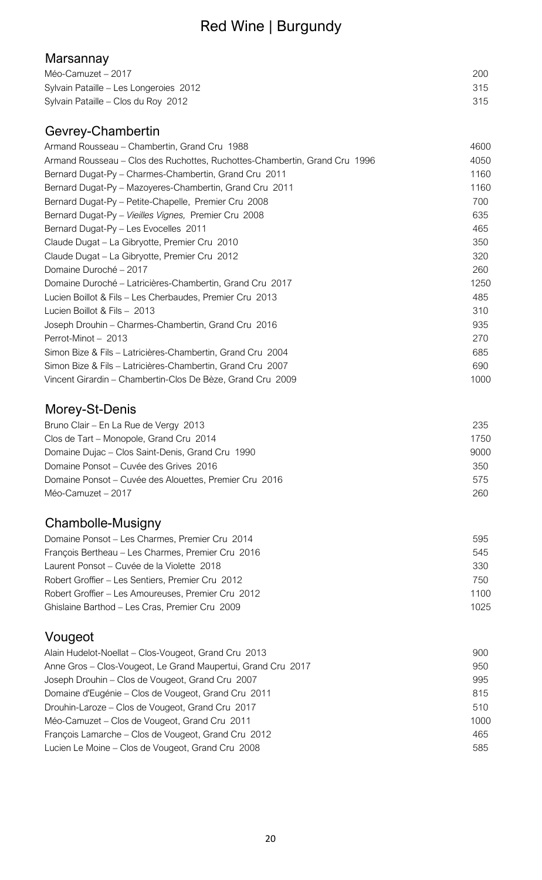# Red Wine | Burgundy

### Marsannay

| Méo-Camuzet – 2017                     | 200 |
|----------------------------------------|-----|
| Sylvain Pataille - Les Longeroies 2012 | 315 |
| Sylvain Pataille - Clos du Roy 2012    | 315 |

# Gevrey-Chambertin

| Armand Rousseau – Chambertin, Grand Cru 1988                               | 4600 |
|----------------------------------------------------------------------------|------|
| Armand Rousseau - Clos des Ruchottes, Ruchottes-Chambertin, Grand Cru 1996 | 4050 |
| Bernard Dugat-Py - Charmes-Chambertin, Grand Cru 2011                      | 1160 |
| Bernard Dugat-Py - Mazoyeres-Chambertin, Grand Cru 2011                    | 1160 |
| Bernard Dugat-Py - Petite-Chapelle, Premier Cru 2008                       | 700  |
| Bernard Dugat-Py - Vieilles Vignes, Premier Cru 2008                       | 635  |
| Bernard Dugat-Py - Les Evocelles 2011                                      | 465  |
| Claude Dugat – La Gibryotte, Premier Cru 2010                              | 350  |
| Claude Dugat - La Gibryotte, Premier Cru 2012                              | 320  |
| Domaine Duroché - 2017                                                     | 260  |
| Domaine Duroché – Latricières-Chambertin, Grand Cru 2017                   | 1250 |
| Lucien Boillot & Fils - Les Cherbaudes, Premier Cru 2013                   | 485  |
| Lucien Boillot & Fils - 2013                                               | 310  |
| Joseph Drouhin - Charmes-Chambertin, Grand Cru 2016                        | 935  |
| Perrot-Minot - 2013                                                        | 270  |
| Simon Bize & Fils - Latricières-Chambertin, Grand Cru 2004                 | 685  |
| Simon Bize & Fils - Latricières-Chambertin, Grand Cru 2007                 | 690  |
| Vincent Girardin - Chambertin-Clos De Bèze, Grand Cru 2009                 | 1000 |

# Morey-St-Denis

| Bruno Clair – En La Rue de Vergy 2013                  | 235  |
|--------------------------------------------------------|------|
| Clos de Tart – Monopole, Grand Cru 2014                | 1750 |
| Domaine Dujac - Clos Saint-Denis, Grand Cru 1990       | 9000 |
| Domaine Ponsot – Cuvée des Grives 2016                 | 350  |
| Domaine Ponsot – Cuvée des Alouettes, Premier Cru 2016 | 575  |
| Méo-Camuzet – 2017                                     | 260  |

# Chambolle-Musigny

| Domaine Ponsot – Les Charmes, Premier Cru 2014     | 595  |
|----------------------------------------------------|------|
| François Bertheau - Les Charmes, Premier Cru 2016  | 545  |
| Laurent Ponsot – Cuvée de la Violette 2018         | 330  |
| Robert Groffier - Les Sentiers, Premier Cru 2012   | 750  |
| Robert Groffier – Les Amoureuses, Premier Cru 2012 | 1100 |
| Ghislaine Barthod - Les Cras, Premier Cru 2009     | 1025 |
|                                                    |      |

# Vougeot

| Alain Hudelot-Noellat - Clos-Vougeot, Grand Cru 2013         | 900  |
|--------------------------------------------------------------|------|
| Anne Gros - Clos-Vougeot, Le Grand Maupertui, Grand Cru 2017 | 950  |
| Joseph Drouhin - Clos de Vougeot, Grand Cru 2007             | 995  |
| Domaine d'Eugénie - Clos de Vougeot, Grand Cru 2011          | 815  |
| Drouhin-Laroze - Clos de Vougeot, Grand Cru 2017             | 510  |
| Méo-Camuzet – Clos de Vougeot, Grand Cru 2011                | 1000 |
| François Lamarche - Clos de Vougeot, Grand Cru 2012          | 465  |
| Lucien Le Moine - Clos de Vougeot, Grand Cru 2008            | 585  |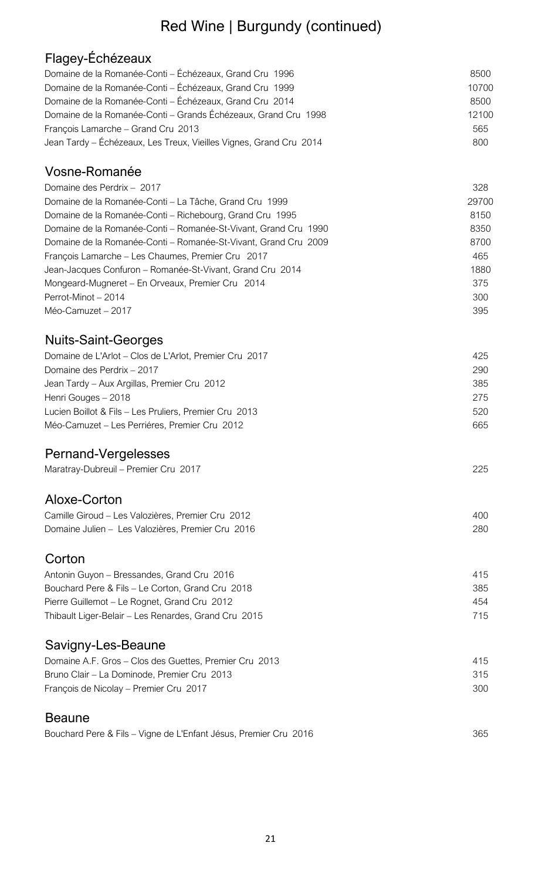# Red Wine | Burgundy (continued)

# Flagey-Échézeaux

| Domaine de la Romanée-Conti – Échézeaux, Grand Cru 1996            | 8500  |
|--------------------------------------------------------------------|-------|
| Domaine de la Romanée-Conti - Échézeaux, Grand Cru 1999            | 10700 |
| Domaine de la Romanée-Conti - Échézeaux, Grand Cru 2014            | 8500  |
| Domaine de la Romanée-Conti – Grands Échézeaux, Grand Cru 1998     | 12100 |
| François Lamarche - Grand Cru 2013                                 | 565   |
| Jean Tardy - Échézeaux, Les Treux, Vieilles Vignes, Grand Cru 2014 | 800   |

#### Vosne-Romanée

| Domaine des Perdrix - 2017                                      | 328   |
|-----------------------------------------------------------------|-------|
| Domaine de la Romanée-Conti – La Tâche, Grand Cru 1999          | 29700 |
| Domaine de la Romanée-Conti – Richebourg, Grand Cru 1995        | 8150  |
| Domaine de la Romanée-Conti – Romanée-St-Vivant, Grand Cru 1990 | 8350  |
| Domaine de la Romanée-Conti – Romanée-St-Vivant, Grand Cru 2009 | 8700  |
| François Lamarche - Les Chaumes, Premier Cru 2017               | 465   |
| Jean-Jacques Confuron - Romanée-St-Vivant, Grand Cru 2014       | 1880  |
| Mongeard-Mugneret - En Orveaux, Premier Cru 2014                | 375   |
| Perrot-Minot - 2014                                             | 300   |
| Méo-Camuzet – 2017                                              | 395   |

### Nuits-Saint-Georges

| Domaine de L'Arlot - Clos de L'Arlot, Premier Cru 2017 | 425 |
|--------------------------------------------------------|-----|
| Domaine des Perdrix - 2017                             | 290 |
| Jean Tardy – Aux Argillas, Premier Cru 2012            | 385 |
| Henri Gouges – 2018                                    | 275 |
| Lucien Boillot & Fils - Les Pruliers, Premier Cru 2013 | 520 |
| Méo-Camuzet – Les Perriéres, Premier Cru 2012          | 665 |
|                                                        |     |

### Pernand-Vergelesses

| Maratray-Dubreuil - Premier Cru 2017 | 225 |
|--------------------------------------|-----|
|--------------------------------------|-----|

#### Aloxe-Corton

| Camille Giroud - Les Valozières, Premier Cru 2012 | 400 |
|---------------------------------------------------|-----|
| Domaine Julien - Les Valozières, Premier Cru 2016 | 280 |

#### **Corton**

| 415 |
|-----|
| 385 |
| 454 |
| 715 |
|     |

### Savigny-Les-Beaune

| Domaine A.F. Gros – Clos des Guettes, Premier Cru 2013 | 415 |
|--------------------------------------------------------|-----|
| Bruno Clair – La Dominode, Premier Cru 2013            | 315 |
| François de Nicolay – Premier Cru 2017                 | 300 |

#### **Beaune**

|--|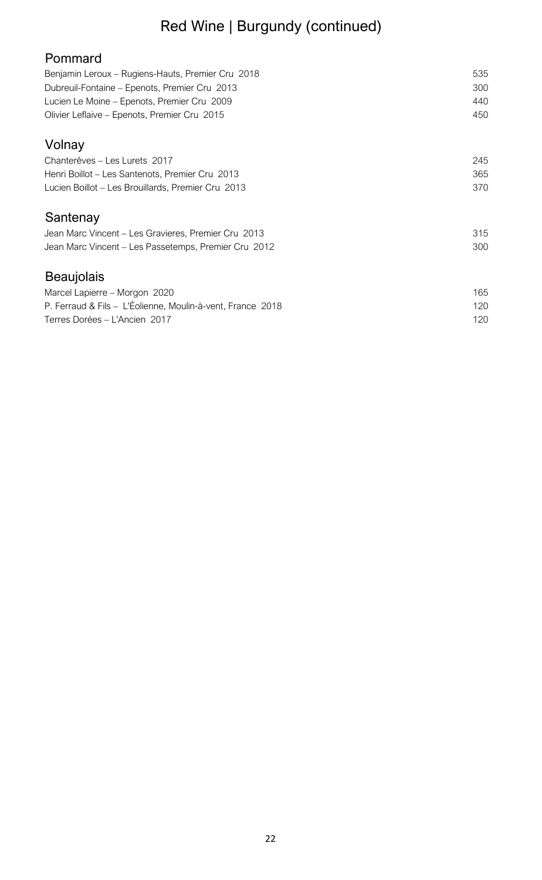# Red Wine | Burgundy (continued)

| Pommard                                                    |     |
|------------------------------------------------------------|-----|
| Benjamin Leroux - Rugiens-Hauts, Premier Cru 2018          | 535 |
| Dubreuil-Fontaine - Epenots, Premier Cru 2013              | 300 |
| Lucien Le Moine - Epenots, Premier Cru 2009                | 440 |
| Olivier Leflaive - Epenots, Premier Cru 2015               | 450 |
| Volnay                                                     |     |
| Chanterêves - Les Lurets 2017                              | 245 |
| Henri Boillot - Les Santenots, Premier Cru 2013            | 365 |
| Lucien Boillot - Les Brouillards, Premier Cru 2013         | 370 |
| Santenay                                                   |     |
| Jean Marc Vincent – Les Gravieres, Premier Cru 2013        | 315 |
| Jean Marc Vincent - Les Passetemps, Premier Cru 2012       | 300 |
| <b>Beaujolais</b>                                          |     |
| Marcel Lapierre - Morgon 2020                              | 165 |
| P. Ferraud & Fils - L'Éolienne, Moulin-à-vent, France 2018 | 120 |
|                                                            |     |

Terres Dorées – L'Ancien 2017 **120**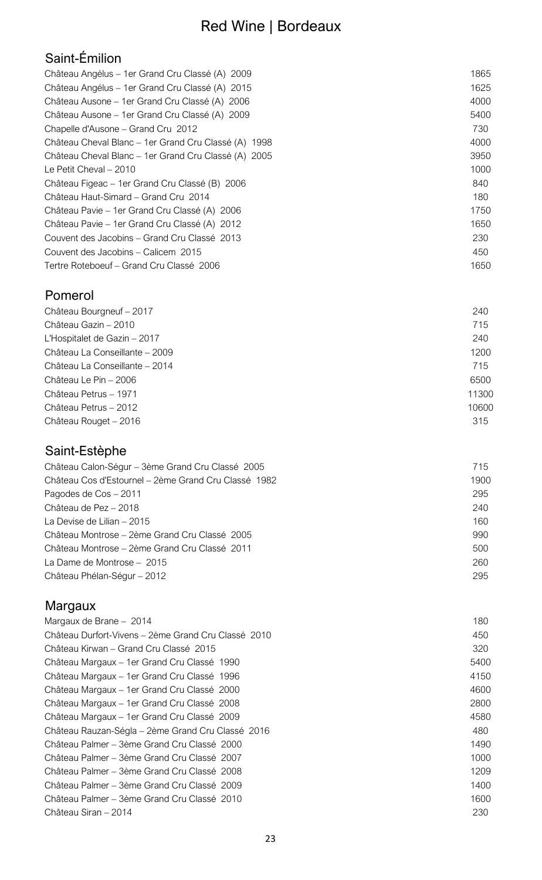# Saint-Émilion

| Château Angélus - 1 er Grand Cru Classé (A) 2009      | 1865 |
|-------------------------------------------------------|------|
| Château Angélus - 1 er Grand Cru Classé (A) 2015      | 1625 |
| Château Ausone – 1 er Grand Cru Classé (A) 2006       | 4000 |
| Château Ausone – 1 er Grand Cru Classé (A) 2009       | 5400 |
| Chapelle d'Ausone - Grand Cru 2012                    | 730  |
| Château Cheval Blanc – 1 er Grand Cru Classé (A) 1998 | 4000 |
| Château Cheval Blanc - 1er Grand Cru Classé (A) 2005  | 3950 |
| Le Petit Cheval - 2010                                | 1000 |
| Château Figeac – 1 er Grand Cru Classé (B) 2006       | 840  |
| Château Haut-Simard - Grand Cru 2014                  | 180. |
| Château Pavie – 1 er Grand Cru Classé (A) 2006        | 1750 |
| Château Pavie – 1 er Grand Cru Classé (A) 2012        | 1650 |
| Couvent des Jacobins - Grand Cru Classé 2013          | 230  |
| Couvent des Jacobins – Calicem 2015                   | 450  |
| Tertre Roteboeuf - Grand Cru Classé 2006              | 1650 |
|                                                       |      |

### Pomerol

| Château Bourgneuf - 2017       | 240   |
|--------------------------------|-------|
| Château Gazin - 2010           | 715   |
| L'Hospitalet de Gazin - 2017   | 240   |
| Château La Conseillante - 2009 | 1200  |
| Château La Conseillante - 2014 | 715   |
| Château Le Pin - 2006          | 6500  |
| Château Petrus - 1971          | 11300 |
| Château Petrus - 2012          | 10600 |
| Château Rouget - 2016          | 315   |
|                                |       |

### Saint-Estèphe

| Château Calon-Ségur - 3ème Grand Cru Classé 2005     | 715  |
|------------------------------------------------------|------|
| Château Cos d'Estournel - 2ème Grand Cru Classé 1982 | 1900 |
| Pagodes de Cos - 2011                                | 295  |
| Château de Pez - 2018                                | 240  |
| La Devise de Lilian – 2015                           | 160  |
| Château Montrose – 2ème Grand Cru Classé 2005        | 990  |
| Château Montrose – 2ème Grand Cru Classé 2011        | 500  |
| La Dame de Montrose - 2015                           | 260  |
| Château Phélan-Ségur - 2012                          | 295  |
|                                                      |      |

# Margaux

| Margaux de Brane - 2014                             | 180  |
|-----------------------------------------------------|------|
| Château Durfort-Vivens - 2ème Grand Cru Classé 2010 | 450  |
| Château Kirwan – Grand Cru Classé 2015              | 320  |
| Château Margaux - 1 er Grand Cru Classé 1990        | 5400 |
| Château Margaux - 1 er Grand Cru Classé 1996        | 4150 |
| Château Margaux - 1 er Grand Cru Classé 2000        | 4600 |
| Château Margaux - 1er Grand Cru Classé 2008         | 2800 |
| Château Margaux - 1 er Grand Cru Classé 2009        | 4580 |
| Château Rauzan-Ségla - 2ème Grand Cru Classé 2016   | 480  |
| Château Palmer – 3ème Grand Cru Classé 2000         | 1490 |
| Château Palmer – 3ème Grand Cru Classé 2007         | 1000 |
| Château Palmer - 3ème Grand Cru Classé 2008         | 1209 |
| Château Palmer - 3ème Grand Cru Classé 2009         | 1400 |
| Château Palmer – 3ème Grand Cru Classé 2010         | 1600 |
| Château Siran – 2014                                | 230  |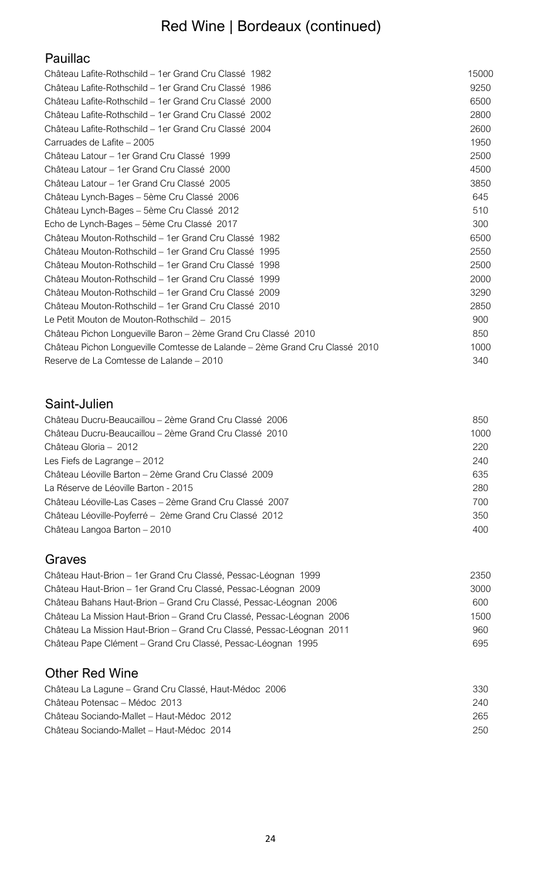# Red Wine | Bordeaux (continued)

### Pauillac

| Château Lafite-Rothschild - 1 er Grand Cru Classé 1982                      | 15000 |
|-----------------------------------------------------------------------------|-------|
| Château Lafite-Rothschild – 1er Grand Cru Classé 1986                       | 9250  |
| Château Lafite-Rothschild - 1 er Grand Cru Classé 2000                      | 6500  |
| Château Lafite-Rothschild - 1er Grand Cru Classé 2002                       | 2800  |
| Château Lafite-Rothschild – 1 er Grand Cru Classé 2004                      | 2600  |
| Carruades de Lafite - 2005                                                  | 1950  |
| Château Latour - 1er Grand Cru Classé 1999                                  | 2500  |
| Château Latour - 1er Grand Cru Classé 2000                                  | 4500  |
| Château Latour - 1er Grand Cru Classé 2005                                  | 3850  |
| Château Lynch-Bages - 5ème Cru Classé 2006                                  | 645   |
| Château Lynch-Bages - 5ème Cru Classé 2012                                  | 510   |
| Echo de Lynch-Bages - 5ème Cru Classé 2017                                  | 300   |
| Château Mouton-Rothschild - 1er Grand Cru Classé 1982                       | 6500  |
| Château Mouton-Rothschild - 1er Grand Cru Classé 1995                       | 2550  |
| Château Mouton-Rothschild – 1er Grand Cru Classé 1998                       | 2500  |
| Château Mouton-Rothschild – 1 er Grand Cru Classé 1999                      | 2000  |
| Château Mouton-Rothschild – 1er Grand Cru Classé 2009                       | 3290  |
| Château Mouton-Rothschild – 1er Grand Cru Classé 2010                       | 2850  |
| Le Petit Mouton de Mouton-Rothschild - 2015                                 | 900   |
| Château Pichon Longueville Baron - 2ème Grand Cru Classé 2010               | 850   |
| Château Pichon Longueville Comtesse de Lalande – 2ème Grand Cru Classé 2010 | 1000  |
| Reserve de La Comtesse de Lalande - 2010                                    | 340   |
|                                                                             |       |

### Saint-Julien

| Château Ducru-Beaucaillou – 2ème Grand Cru Classé 2006  | 850  |
|---------------------------------------------------------|------|
| Château Ducru-Beaucaillou – 2ème Grand Cru Classé 2010  | 1000 |
| Château Gloria - 2012                                   | 220  |
| Les Fiefs de Lagrange - 2012                            | 240  |
| Château Léoville Barton - 2ème Grand Cru Classé 2009    | 635  |
| La Réserve de Léoville Barton - 2015                    | 280  |
| Château Léoville-Las Cases – 2ème Grand Cru Classé 2007 | 700  |
| Château Léoville-Poyferré - 2ème Grand Cru Classé 2012  | 350  |
| Château Langoa Barton - 2010                            | 400  |
|                                                         |      |

#### Graves

| Château Haut-Brion - 1er Grand Cru Classé, Pessac-Léognan 1999        | 2350 |
|-----------------------------------------------------------------------|------|
| Château Haut-Brion - 1er Grand Cru Classé, Pessac-Léognan 2009        | 3000 |
| Château Bahans Haut-Brion - Grand Cru Classé, Pessac-Léognan 2006     | 600  |
| Château La Mission Haut-Brion - Grand Cru Classé, Pessac-Léognan 2006 | 1500 |
| Château La Mission Haut-Brion – Grand Cru Classé, Pessac-Léognan 2011 | 960  |
| Château Pape Clément - Grand Cru Classé, Pessac-Léognan 1995          | 695  |

### Other Red Wine

| Château La Lagune – Grand Cru Classé, Haut-Médoc 2006 | 330 |
|-------------------------------------------------------|-----|
| Château Potensac - Médoc 2013                         | 240 |
| Château Sociando-Mallet – Haut-Médoc 2012             | 265 |
| Château Sociando-Mallet – Haut-Médoc 2014             | 250 |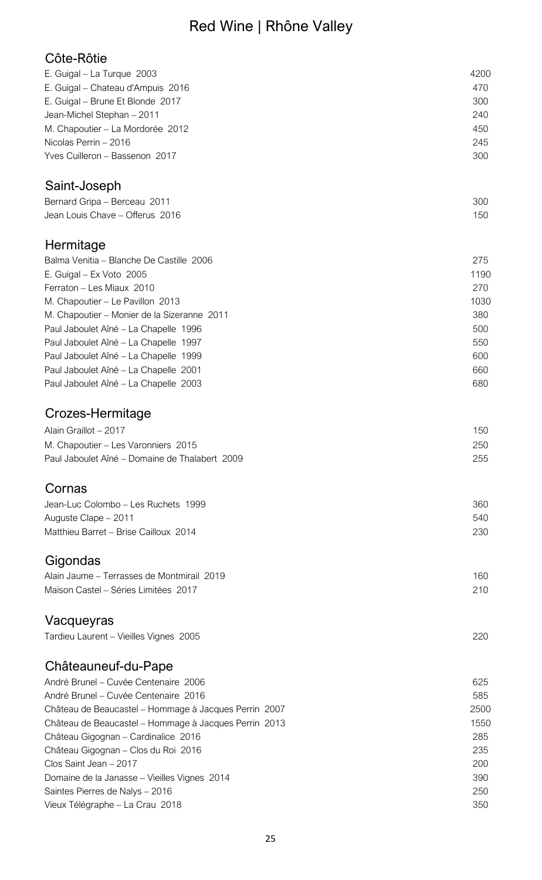# Red Wine | Rhône Valley

### Côte-Rôtie

| E. Guigal - La Turque 2003                            | 4200 |
|-------------------------------------------------------|------|
| E. Guigal - Chateau d'Ampuis 2016                     | 470  |
| E. Guigal - Brune Et Blonde 2017                      | 300  |
| Jean-Michel Stephan - 2011                            | 240  |
| M. Chapoutier - La Mordorée 2012                      | 450  |
| Nicolas Perrin - 2016                                 | 245  |
| Yves Cuilleron - Bassenon 2017                        | 300  |
| Saint-Joseph                                          |      |
| Bernard Gripa - Berceau 2011                          | 300  |
| Jean Louis Chave - Offerus 2016                       | 150  |
| Hermitage                                             |      |
| Balma Venitia - Blanche De Castille 2006              | 275  |
| E. Guigal - Ex Voto 2005                              | 1190 |
| Ferraton - Les Miaux 2010                             | 270  |
| M. Chapoutier - Le Pavillon 2013                      | 1030 |
| M. Chapoutier - Monier de la Sizeranne 2011           | 380  |
| Paul Jaboulet Aîné - La Chapelle 1996                 | 500  |
| Paul Jaboulet Aîné – La Chapelle 1997                 | 550  |
| Paul Jaboulet Aîné - La Chapelle 1999                 | 600  |
| Paul Jaboulet Aîné - La Chapelle 2001                 | 660  |
| Paul Jaboulet Aîné - La Chapelle 2003                 | 680  |
| Crozes-Hermitage                                      |      |
| Alain Graillot - 2017                                 | 150  |
| M. Chapoutier - Les Varonniers 2015                   | 250  |
| Paul Jaboulet Aîné – Domaine de Thalabert 2009        | 255  |
| Cornas                                                |      |
| Jean-Luc Colombo - Les Ruchets 1999                   | 360  |
| Auguste Clape - 2011                                  | 540  |
| Matthieu Barret - Brise Cailloux 2014                 | 230  |
| Gigondas                                              |      |
| Alain Jaume - Terrasses de Montmirail 2019            | 160  |
| Maison Castel - Séries Limitées 2017                  | 210  |
| Vacqueyras                                            |      |
| Tardieu Laurent - Vieilles Vignes 2005                | 220  |
| Châteauneuf-du-Pape                                   |      |
| André Brunel - Cuvée Centenaire 2006                  | 625  |
| André Brunel – Cuvée Centenaire 2016                  | 585  |
| Château de Beaucastel - Hommage à Jacques Perrin 2007 | 2500 |
| Château de Beaucastel - Hommage à Jacques Perrin 2013 | 1550 |
| Château Gigognan - Cardinalice 2016                   | 285  |
| Château Gigognan - Clos du Roi 2016                   | 235  |
| Clos Saint Jean - 2017                                | 200  |
| Domaine de la Janasse - Vieilles Vignes 2014          | 390  |
| Saintes Pierres de Nalys - 2016                       | 250  |
| Vieux Télégraphe - La Crau 2018                       | 350  |
|                                                       |      |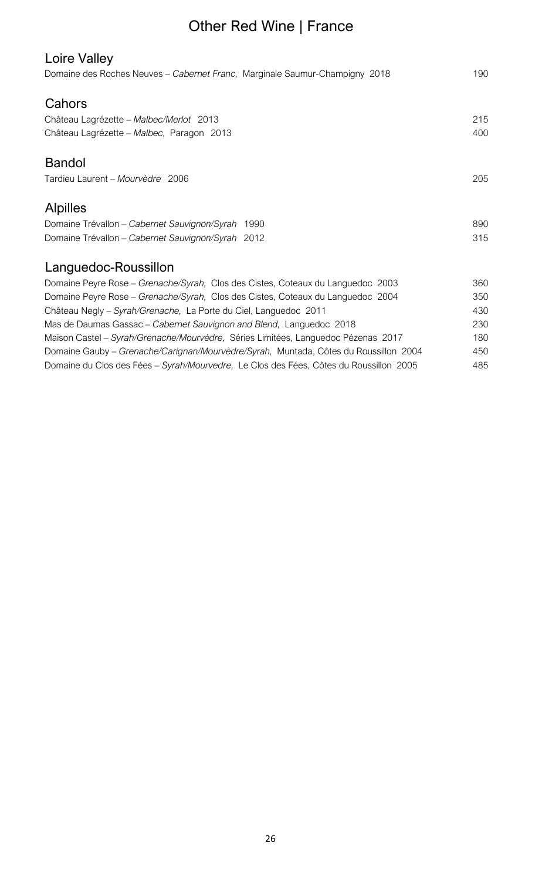# Other Red Wine | France

| Loire Valley<br>Domaine des Roches Neuves - Cabernet Franc, Marginale Saumur-Champigny 2018 | 190 |
|---------------------------------------------------------------------------------------------|-----|
| Cahors                                                                                      |     |
| Château Lagrézette - Malbec/Merlot 2013                                                     | 215 |
| Château Lagrézette - Malbec, Paragon 2013                                                   | 400 |
| <b>Bandol</b>                                                                               |     |
| Tardieu Laurent - Mourvèdre 2006                                                            | 205 |
| <b>Alpilles</b>                                                                             |     |
| Domaine Trévallon - Cabernet Sauvignon/Syrah 1990                                           | 890 |
| Domaine Trévallon - Cabernet Sauvignon/Syrah 2012                                           | 315 |
| Languedoc-Roussillon                                                                        |     |
| Domaine Peyre Rose - Grenache/Syrah, Clos des Cistes, Coteaux du Languedoc 2003             | 360 |
| Domaine Peyre Rose - Grenache/Syrah, Clos des Cistes, Coteaux du Languedoc 2004             | 350 |
| Château Negly – Syrah/Grenache, La Porte du Ciel, Languedoc 2011                            | 430 |
| Mas de Daumas Gassac - Cabernet Sauvignon and Blend, Languedoc 2018                         | 230 |
| Maison Castel - Syrah/Grenache/Mourvèdre, Séries Limitées, Languedoc Pézenas 2017           | 180 |
| Domaine Gauby - Grenache/Carignan/Mourvèdre/Syrah, Muntada, Côtes du Roussillon 2004        | 450 |
| Domaine du Clos des Fées - Syrah/Mourvedre, Le Clos des Fées, Côtes du Roussillon 2005      | 485 |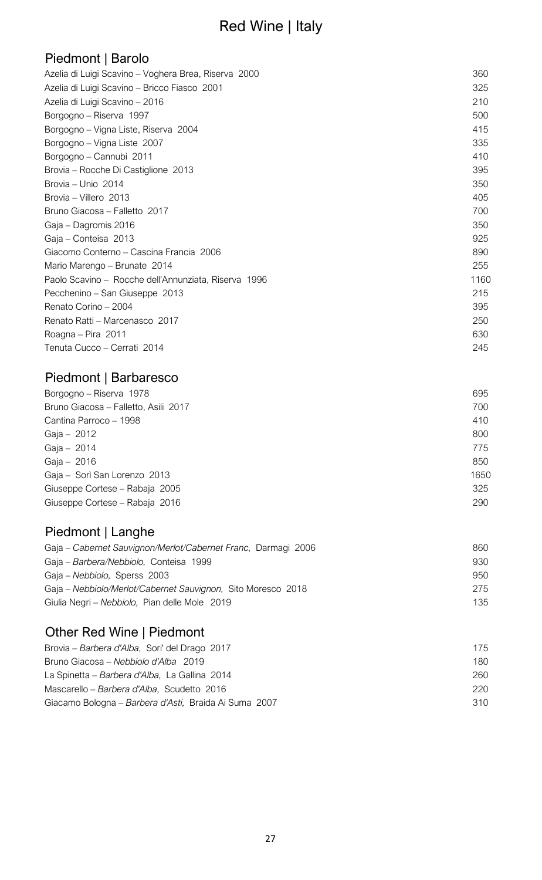# Red Wine | Italy

### Piedmont | Barolo

| Azelia di Luigi Scavino – Voghera Brea, Riserva 2000 | 360  |
|------------------------------------------------------|------|
| Azelia di Luigi Scavino - Bricco Fiasco 2001         | 325  |
| Azelia di Luigi Scavino - 2016                       | 210  |
| Borgogno - Riserva 1997                              | 500  |
| Borgogno – Vigna Liste, Riserva 2004                 | 415  |
| Borgogno – Vigna Liste 2007                          | 335  |
| Borgogno - Cannubi 2011                              | 410  |
| Brovia - Rocche Di Castiglione 2013                  | 395  |
| Brovia – Unio 2014                                   | 350  |
| Brovia - Villero 2013                                | 405  |
| Bruno Giacosa - Falletto 2017                        | 700  |
| Gaja - Dagromis 2016                                 | 350  |
| Gaja - Conteisa 2013                                 | 925  |
| Giacomo Conterno – Cascina Francia 2006              | 890  |
| Mario Marengo - Brunate 2014                         | 255  |
| Paolo Scavino - Rocche dell'Annunziata, Riserva 1996 | 1160 |
| Pecchenino - San Giuseppe 2013                       | 215  |
| Renato Corino - 2004                                 | 395  |
| Renato Ratti - Marcenasco 2017                       | 250  |
| Roagna - Pira 2011                                   | 630  |
| Tenuta Cucco - Cerrati 2014                          | 245  |
|                                                      |      |

### Piedmont | Barbaresco

| Borgogno - Riserva 1978              | 695  |
|--------------------------------------|------|
| Bruno Giacosa - Falletto, Asili 2017 | 700  |
| Cantina Parroco - 1998               | 410  |
| Gaja - 2012                          | 800  |
| Gaja - 2014                          | 775  |
| Gaja - 2016                          | 850  |
| Gaja - Sorì San Lorenzo 2013         | 1650 |
| Giuseppe Cortese - Rabaja 2005       | 325  |
| Giuseppe Cortese - Rabaja 2016       | 290  |
|                                      |      |

# Piedmont | Langhe

| Gaja – Cabernet Sauvignon/Merlot/Cabernet Franc, Darmagi 2006 | 860 |
|---------------------------------------------------------------|-----|
| Gaja - Barbera/Nebbiolo, Conteisa 1999                        | 930 |
| Gaja – Nebbiolo, Sperss 2003                                  | 950 |
| Gaja - Nebbiolo/Merlot/Cabernet Sauvignon, Sito Moresco 2018  | 275 |
| Giulia Negri – Nebbiolo, Pian delle Mole 2019                 | 135 |

### Other Red Wine | Piedmont

| Brovia – Barbera d'Alba, Sori' del Drago 2017         | 175  |
|-------------------------------------------------------|------|
| Bruno Giacosa – Nebbiolo d'Alba 2019                  | 180. |
| La Spinetta – Barbera d'Alba, La Gallina 2014         | 260. |
| Mascarello - Barbera d'Alba, Scudetto 2016            | 220  |
| Giacamo Bologna - Barbera d'Asti, Braida Ai Suma 2007 | 310  |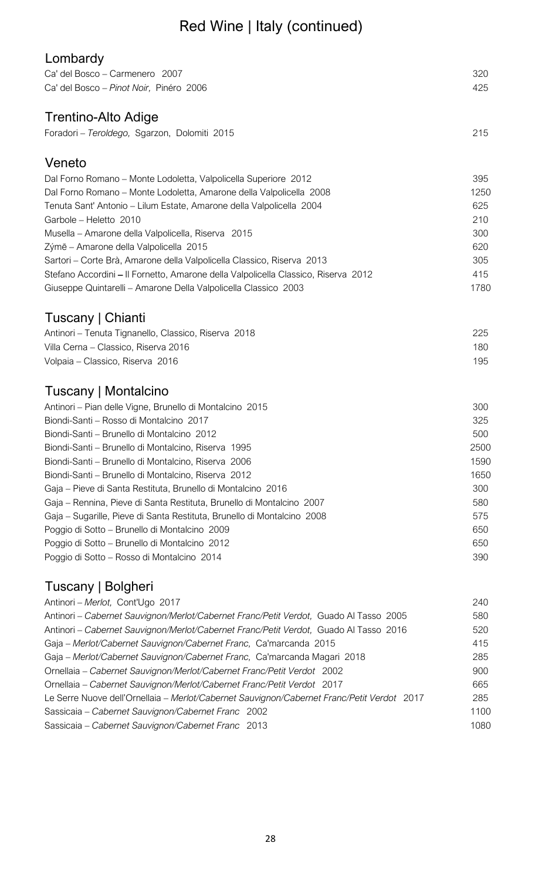# Red Wine | Italy (continued)

| Lombardy                                                                                   |      |
|--------------------------------------------------------------------------------------------|------|
| Ca' del Bosco - Carmenero 2007                                                             | 320  |
| Ca' del Bosco - Pinot Noir, Pinéro 2006                                                    | 425  |
| <b>Trentino-Alto Adige</b>                                                                 |      |
|                                                                                            |      |
| Foradori - Teroldego, Sgarzon, Dolomiti 2015                                               | 215  |
| Veneto                                                                                     |      |
| Dal Forno Romano - Monte Lodoletta, Valpolicella Superiore 2012                            | 395  |
| Dal Forno Romano – Monte Lodoletta, Amarone della Valpolicella 2008                        | 1250 |
| Tenuta Sant' Antonio - Lilum Estate, Amarone della Valpolicella 2004                       | 625  |
| Garbole - Heletto 2010                                                                     | 210  |
| Musella – Amarone della Valpolicella, Riserva 2015                                         | 300  |
| Zýmē - Amarone della Valpolicella 2015                                                     | 620  |
| Sartori - Corte Brà, Amarone della Valpolicella Classico, Riserva 2013                     | 305  |
| Stefano Accordini – Il Fornetto, Amarone della Valpolicella Classico, Riserva 2012         | 415  |
| Giuseppe Quintarelli - Amarone Della Valpolicella Classico 2003                            | 1780 |
|                                                                                            |      |
| Tuscany   Chianti                                                                          |      |
| Antinori - Tenuta Tignanello, Classico, Riserva 2018                                       | 225  |
| Villa Cerna - Classico, Riserva 2016                                                       | 180  |
| Volpaia - Classico, Riserva 2016                                                           | 195  |
| Tuscany   Montalcino                                                                       |      |
| Antinori – Pian delle Vigne, Brunello di Montalcino 2015                                   | 300  |
| Biondi-Santi - Rosso di Montalcino 2017                                                    | 325  |
| Biondi-Santi - Brunello di Montalcino 2012                                                 | 500  |
| Biondi-Santi - Brunello di Montalcino, Riserva 1995                                        | 2500 |
| Biondi-Santi - Brunello di Montalcino, Riserva 2006                                        | 1590 |
| Biondi-Santi – Brunello di Montalcino, Riserva 2012                                        | 1650 |
| Gaja – Pieve di Santa Restituta, Brunello di Montalcino 2016                               | 300  |
| Gaja – Rennina, Pieve di Santa Restituta, Brunello di Montalcino 2007                      | 580  |
| Gaja – Sugarille, Pieve di Santa Restituta, Brunello di Montalcino 2008                    | 575  |
| Poggio di Sotto - Brunello di Montalcino 2009                                              | 650  |
| Poggio di Sotto - Brunello di Montalcino 2012                                              | 650  |
| Poggio di Sotto – Rosso di Montalcino 2014                                                 | 390  |
|                                                                                            |      |
| Tuscany   Bolgheri                                                                         |      |
| Antinori - Merlot, Cont'Ugo 2017                                                           | 240  |
| Antinori – Cabernet Sauvignon/Merlot/Cabernet Franc/Petit Verdot, Guado Al Tasso 2005      | 580  |
| Antinori - Cabernet Sauvignon/Merlot/Cabernet Franc/Petit Verdot, Guado Al Tasso 2016      | 520  |
| Gaja - Merlot/Cabernet Sauvignon/Cabernet Franc, Ca'marcanda 2015                          | 415  |
| Gaja - Merlot/Cabernet Sauvignon/Cabernet Franc, Ca'marcanda Magari 2018                   | 285  |
| Ornellaia – Cabernet Sauvignon/Merlot/Cabernet Franc/Petit Verdot 2002                     | 900  |
| Ornellaia - Cabernet Sauvignon/Merlot/Cabernet Franc/Petit Verdot 2017                     | 665  |
| Le Serre Nuove dell'Ornellaia - Merlot/Cabernet Sauvignon/Cabernet Franc/Petit Verdot 2017 | 285  |
| Sassicaia - Cabernet Sauvignon/Cabernet Franc 2002                                         | 1100 |
| Sassicaia - Cabernet Sauvignon/Cabernet Franc 2013                                         | 1080 |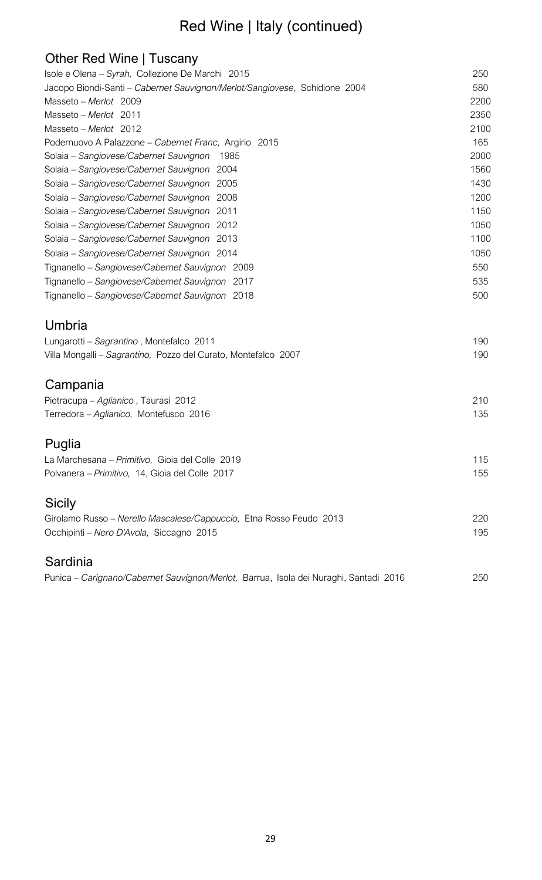# Red Wine | Italy (continued)

| Other Red Wine   Tuscany                                                                           |            |
|----------------------------------------------------------------------------------------------------|------------|
| Isole e Olena - Syrah, Collezione De Marchi 2015                                                   | 250        |
| Jacopo Biondi-Santi - Cabernet Sauvignon/Merlot/Sangiovese, Schidione 2004                         | 580        |
| Masseto - Merlot 2009                                                                              | 2200       |
| Masseto - Merlot 2011                                                                              | 2350       |
| Masseto - Merlot 2012                                                                              | 2100       |
| Podernuovo A Palazzone – Cabernet Franc, Argirio 2015                                              | 165        |
| Solaia - Sangiovese/Cabernet Sauvignon<br>1985                                                     | 2000       |
| Solaia - Sangiovese/Cabernet Sauvignon<br>2004                                                     | 1560       |
| Solaia - Sangiovese/Cabernet Sauvignon<br>2005                                                     | 1430       |
| 2008<br>Solaia - Sangiovese/Cabernet Sauvignon                                                     | 1200       |
| Solaia - Sangiovese/Cabernet Sauvignon<br>2011                                                     | 1150       |
| Solaia - Sangiovese/Cabernet Sauvignon<br>2012                                                     | 1050       |
| Solaia – Sangiovese/Cabernet Sauvignon<br>2013                                                     | 1100       |
| Solaia - Sangiovese/Cabernet Sauvignon 2014                                                        | 1050       |
| Tignanello - Sangiovese/Cabernet Sauvignon 2009                                                    | 550        |
| Tignanello - Sangiovese/Cabernet Sauvignon 2017                                                    | 535        |
| Tignanello - Sangiovese/Cabernet Sauvignon 2018                                                    | 500        |
| Umbria                                                                                             |            |
| Lungarotti - Sagrantino, Montefalco 2011                                                           | 190        |
| Villa Mongalli - Sagrantino, Pozzo del Curato, Montefalco 2007                                     | 190        |
| Campania                                                                                           |            |
| Pietracupa - Aglianico, Taurasi 2012                                                               | 210        |
| Terredora - Aglianico, Montefusco 2016                                                             | 135        |
|                                                                                                    |            |
| Puglia                                                                                             |            |
| La Marchesana - Primitivo, Gioia del Colle 2019<br>Polvanera - Primitivo, 14, Gioia del Colle 2017 | 115<br>155 |
|                                                                                                    |            |
| <b>Sicily</b>                                                                                      |            |
| Girolamo Russo - Nerello Mascalese/Cappuccio, Etna Rosso Feudo 2013                                | 220        |
| Occhipinti - Nero D'Avola, Siccagno 2015                                                           | 195        |
| Sardinia                                                                                           |            |
| Punica - Carignano/Cabernet Sauvignon/Merlot, Barrua, Isola dei Nuraghi, Santadi 2016              | 250        |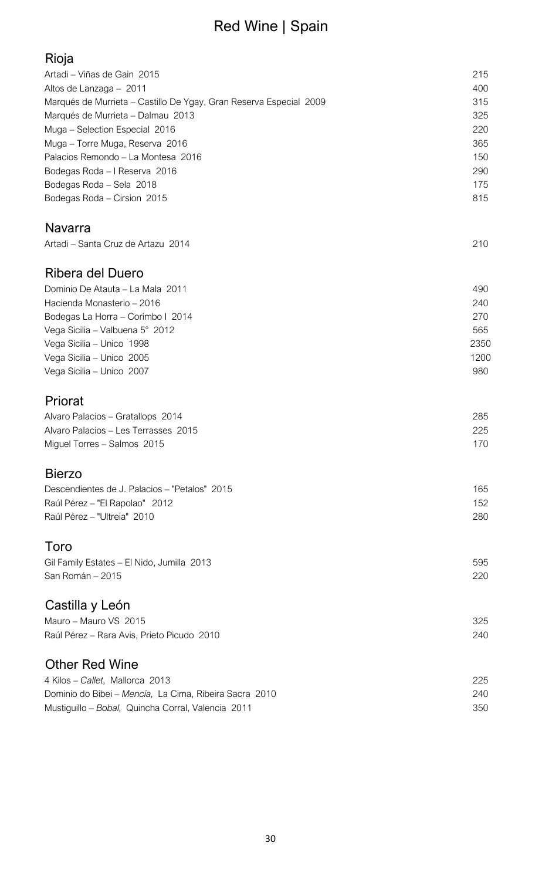# Red Wine | Spain

| ı | ۰. |
|---|----|
|   |    |

| Artadi – Viñas de Gain 2015                                        | 215  |
|--------------------------------------------------------------------|------|
| Altos de Lanzaga - 2011                                            | 400  |
| Marqués de Murrieta - Castillo De Ygay, Gran Reserva Especial 2009 | 315  |
| Marqués de Murrieta - Dalmau 2013                                  | 325  |
| Muga - Selection Especial 2016                                     | 220  |
| Muga - Torre Muga, Reserva 2016                                    | 365  |
| Palacios Remondo - La Montesa 2016                                 | 150  |
| Bodegas Roda - I Reserva 2016                                      | 290  |
| Bodegas Roda - Sela 2018                                           | 175  |
|                                                                    | 815  |
| Bodegas Roda - Cirsion 2015                                        |      |
| <b>Navarra</b>                                                     |      |
| Artadi - Santa Cruz de Artazu 2014                                 | 210  |
|                                                                    |      |
| Ribera del Duero                                                   |      |
| Dominio De Atauta - La Mala 2011                                   | 490  |
| Hacienda Monasterio - 2016                                         | 240  |
| Bodegas La Horra - Corimbo I 2014                                  | 270  |
|                                                                    | 565  |
| Vega Sicilia - Valbuena 5° 2012                                    |      |
| Vega Sicilia - Unico 1998                                          | 2350 |
| Vega Sicilia - Unico 2005                                          | 1200 |
| Vega Sicilia - Unico 2007                                          | 980  |
| Priorat                                                            |      |
| Alvaro Palacios - Gratallops 2014                                  | 285  |
| Alvaro Palacios - Les Terrasses 2015                               | 225  |
|                                                                    |      |
| Miguel Torres - Salmos 2015                                        | 170  |
| <b>Bierzo</b>                                                      |      |
| Descendientes de J. Palacios - "Petalos" 2015                      | 165  |
| Raúl Pérez - "El Rapolao" 2012                                     | 152  |
| Raúl Pérez - "Ultreia" 2010                                        | 280  |
|                                                                    |      |
| Toro                                                               |      |
| Gil Family Estates - El Nido, Jumilla 2013                         | 595  |
| San Román - 2015                                                   | 220  |
|                                                                    |      |
| Castilla y León                                                    |      |
| Mauro - Mauro VS 2015                                              | 325  |
|                                                                    |      |
|                                                                    | 240  |
| Raúl Pérez - Rara Avis, Prieto Picudo 2010                         |      |
| <b>Other Red Wine</b>                                              |      |
| 4 Kilos - Callet, Mallorca 2013                                    | 225  |
| Dominio do Bibei - Mencía, La Cima, Ribeira Sacra 2010             | 240  |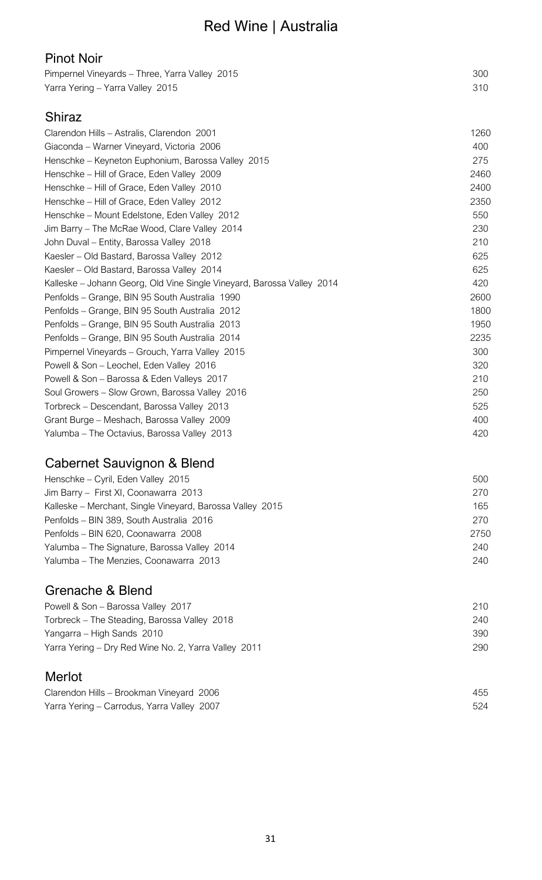# Red Wine | Australia

| 300 |
|-----|
| 310 |
|     |

### Shiraz

| Clarendon Hills - Astralis, Clarendon 2001                             | 1260 |
|------------------------------------------------------------------------|------|
| Giaconda – Warner Vineyard, Victoria 2006                              | 400  |
| Henschke - Keyneton Euphonium, Barossa Valley 2015                     | 275  |
| Henschke - Hill of Grace, Eden Valley 2009                             | 2460 |
| Henschke - Hill of Grace, Eden Valley 2010                             | 2400 |
| Henschke - Hill of Grace, Eden Valley 2012                             | 2350 |
| Henschke - Mount Edelstone, Eden Valley 2012                           | 550  |
| Jim Barry - The McRae Wood, Clare Valley 2014                          | 230  |
| John Duval – Entity, Barossa Valley 2018                               | 210  |
| Kaesler – Old Bastard, Barossa Valley 2012                             | 625  |
| Kaesler - Old Bastard, Barossa Valley 2014                             | 625  |
| Kalleske – Johann Georg, Old Vine Single Vineyard, Barossa Valley 2014 | 420  |
| Penfolds – Grange, BIN 95 South Australia 1990                         | 2600 |
| Penfolds - Grange, BIN 95 South Australia 2012                         | 1800 |
| Penfolds - Grange, BIN 95 South Australia 2013                         | 1950 |
| Penfolds – Grange, BIN 95 South Australia 2014                         | 2235 |
| Pimpernel Vineyards - Grouch, Yarra Valley 2015                        | 300  |
| Powell & Son - Leochel, Eden Valley 2016                               | 320  |
| Powell & Son - Barossa & Eden Valleys 2017                             | 210  |
| Soul Growers - Slow Grown, Barossa Valley 2016                         | 250  |
| Torbreck - Descendant, Barossa Valley 2013                             | 525  |
| Grant Burge - Meshach, Barossa Valley 2009                             | 400  |
| Yalumba - The Octavius, Barossa Valley 2013                            | 420  |

### Cabernet Sauvignon & Blend

| Henschke – Cyril, Eden Valley 2015                        | 500  |
|-----------------------------------------------------------|------|
| Jim Barry - First XI, Coonawarra 2013                     | 270  |
| Kalleske – Merchant, Single Vineyard, Barossa Valley 2015 | 165  |
| Penfolds - BIN 389, South Australia 2016                  | 270  |
| Penfolds - BIN 620, Coonawarra 2008                       | 2750 |
| Yalumba – The Signature, Barossa Valley 2014              | 240  |
| Yalumba - The Menzies, Coonawarra 2013                    | 240  |

### Grenache & Blend

| Powell & Son – Barossa Valley 2017                   | 210  |
|------------------------------------------------------|------|
| Torbreck – The Steading, Barossa Valley 2018         | 240. |
| Yangarra – High Sands 2010                           | 390  |
| Yarra Yering – Dry Red Wine No. 2, Yarra Valley 2011 | 290  |
|                                                      |      |

### Merlot

| Clarendon Hills - Brookman Vineyard 2006   | 455 |
|--------------------------------------------|-----|
| Yarra Yering - Carrodus, Yarra Valley 2007 | 524 |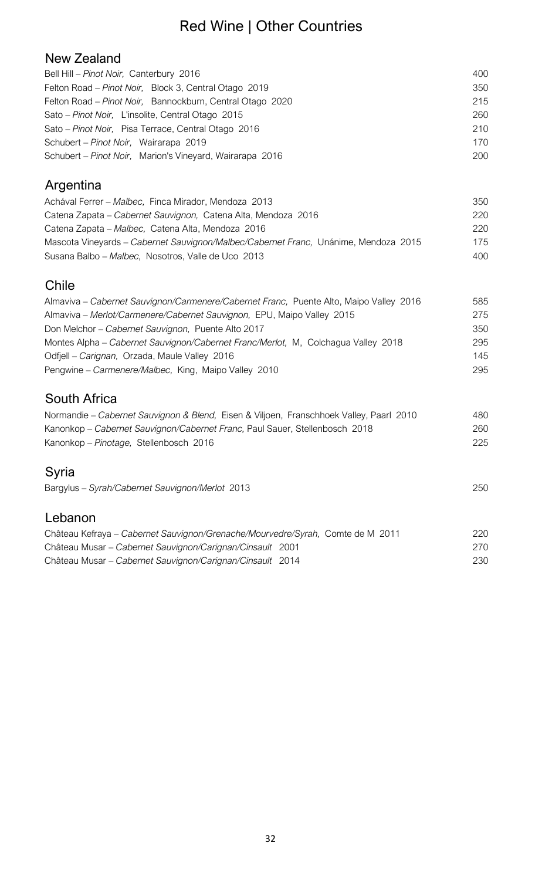# Red Wine | Other Countries

#### New Zealand

| Bell Hill - Pinot Noir, Canterbury 2016                   | 400 |
|-----------------------------------------------------------|-----|
| Felton Road - Pinot Noir, Block 3, Central Otago 2019     | 350 |
| Felton Road - Pinot Noir, Bannockburn, Central Otago 2020 | 215 |
| Sato – Pinot Noir, L'insolite, Central Otago 2015         | 260 |
| Sato - Pinot Noir, Pisa Terrace, Central Otago 2016       | 210 |
| Schubert – Pinot Noir, Wairarapa 2019                     | 170 |
| Schubert - Pinot Noir, Marion's Vineyard, Wairarapa 2016  | 200 |

### Argentina

| Achával Ferrer - Malbec, Finca Mirador, Mendoza 2013                                | 350 |
|-------------------------------------------------------------------------------------|-----|
| Catena Zapata – Cabernet Sauvignon, Catena Alta, Mendoza 2016                       | 220 |
| Catena Zapata – Malbec, Catena Alta, Mendoza 2016                                   | 220 |
| Mascota Vineyards – Cabernet Sauvignon/Malbec/Cabernet Franc, Unánime, Mendoza 2015 | 175 |
| Susana Balbo – Malbec, Nosotros, Valle de Uco 2013                                  | 400 |

#### Chile

| Almaviva - Cabernet Sauvignon/Carmenere/Cabernet Franc, Puente Alto, Maipo Valley 2016 | 585 |
|----------------------------------------------------------------------------------------|-----|
| Almaviva – Merlot/Carmenere/Cabernet Sauvignon, EPU, Maipo Valley 2015                 | 275 |
| Don Melchor - Cabernet Sauvignon, Puente Alto 2017                                     | 350 |
| Montes Alpha – Cabernet Sauvignon/Cabernet Franc/Merlot, M. Colchagua Valley 2018      | 295 |
| Odfjell - Carignan, Orzada, Maule Valley 2016                                          | 145 |
| Pengwine – Carmenere/Malbec, King, Maipo Valley 2010                                   | 295 |

#### South Africa

| Normandie - Cabernet Sauvignon & Blend, Eisen & Viljoen, Franschhoek Valley, Paarl 2010 | 480 |
|-----------------------------------------------------------------------------------------|-----|
| Kanonkop - Cabernet Sauvignon/Cabernet Franc, Paul Sauer, Stellenbosch 2018             | 260 |
| Kanonkop - Pinotage, Stellenbosch 2016                                                  | 225 |
| Syria<br>Bargylus - Syrah/Cabernet Sauvignon/Merlot 2013                                | 250 |

#### Lebanon Château Kefraya – *Cabernet Sauvignon/Grenache/Mourvedre/Syrah,* Comte de M 2011 220 Château Musar – *Cabernet Sauvignon/Carignan/Cinsault* 2001 270 Château Musar – *Cabernet Sauvignon/Carignan/Cinsault* 2014 230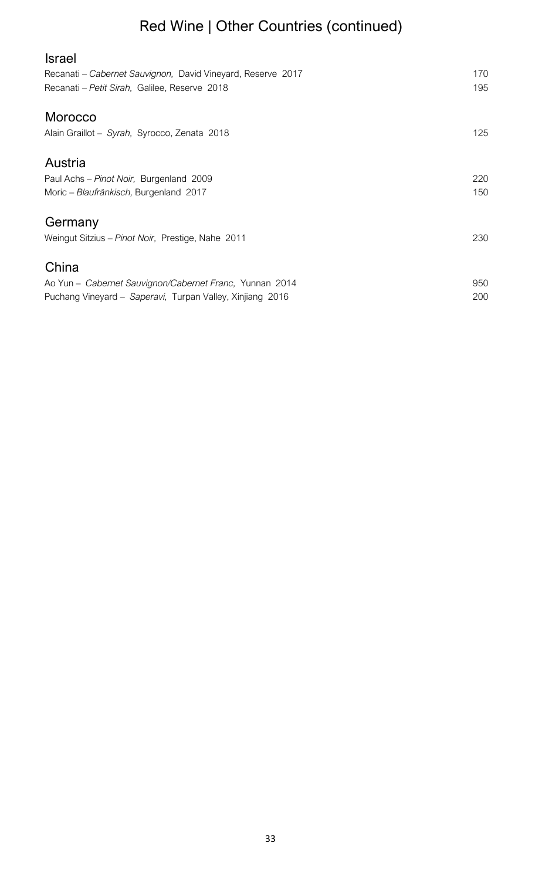# Red Wine | Other Countries (continued)

| <b>Israel</b>                                                                                                |            |
|--------------------------------------------------------------------------------------------------------------|------------|
| Recanati - Cabernet Sauvignon, David Vineyard, Reserve 2017<br>Recanati - Petit Sirah, Galilee, Reserve 2018 | 170<br>195 |
| Morocco                                                                                                      |            |
| Alain Graillot - Syrah, Syrocco, Zenata 2018                                                                 | 125        |
| Austria                                                                                                      |            |
| Paul Achs - Pinot Noir, Burgenland 2009                                                                      | 220        |
| Moric - Blaufränkisch, Burgenland 2017                                                                       | 150        |
| Germany                                                                                                      |            |
| Weingut Sitzius - Pinot Noir, Prestige, Nahe 2011                                                            | 230        |
| China                                                                                                        |            |
| Ao Yun - Cabernet Sauvignon/Cabernet Franc, Yunnan 2014                                                      | 950        |
| Puchang Vineyard - Saperavi, Turpan Valley, Xinjiang 2016                                                    | 200        |